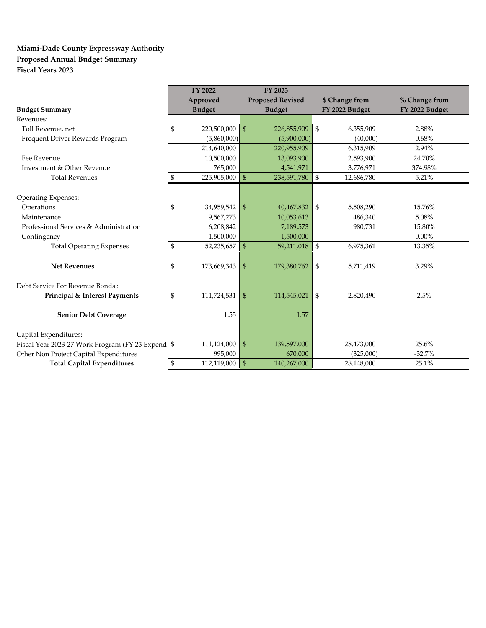### **Miami-Dade County Expressway Authority Proposed Annual Budget Summary Fiscal Years 2023**

|                                                    | FY 2022                |                | FY 2023                 |                           |                |                |
|----------------------------------------------------|------------------------|----------------|-------------------------|---------------------------|----------------|----------------|
|                                                    | Approved               |                | <b>Proposed Revised</b> |                           | \$ Change from | % Change from  |
| <b>Budget Summary</b>                              | <b>Budget</b>          |                | <b>Budget</b>           |                           | FY 2022 Budget | FY 2022 Budget |
| Revenues:                                          |                        |                |                         |                           |                |                |
| Toll Revenue, net                                  | \$<br>$220,500,000$ \$ |                | 226,855,909             | $\boldsymbol{\mathsf{S}}$ | 6,355,909      | 2.88%          |
| Frequent Driver Rewards Program                    | (5,860,000)            |                | (5,900,000)             |                           | (40,000)       | 0.68%          |
|                                                    | 214,640,000            |                | 220,955,909             |                           | 6,315,909      | 2.94%          |
| Fee Revenue                                        | 10,500,000             |                | 13,093,900              |                           | 2,593,900      | 24.70%         |
| Investment & Other Revenue                         | 765,000                |                | 4,541,971               |                           | 3,776,971      | 374.98%        |
| <b>Total Revenues</b>                              | \$<br>$225,905,000$ \$ |                | 238,591,780             | \$                        | 12,686,780     | 5.21%          |
|                                                    |                        |                |                         |                           |                |                |
| <b>Operating Expenses:</b>                         |                        |                |                         |                           |                |                |
| Operations                                         | \$<br>34,959,542       | $\mathfrak{F}$ | 40,467,832              | \$                        | 5,508,290      | 15.76%         |
| Maintenance                                        | 9,567,273              |                | 10,053,613              |                           | 486,340        | 5.08%          |
| Professional Services & Administration             | 6,208,842              |                | 7,189,573               |                           | 980,731        | 15.80%         |
| Contingency                                        | 1,500,000              |                | 1,500,000               |                           |                | $0.00\%$       |
| <b>Total Operating Expenses</b>                    | \$<br>52,235,657       | $\mathfrak{s}$ | 59,211,018              | \$                        | 6,975,361      | 13.35%         |
|                                                    |                        |                |                         |                           |                |                |
| <b>Net Revenues</b>                                | \$<br>173,669,343      | $\mathfrak{F}$ | 179,380,762             | \$                        | 5,711,419      | 3.29%          |
|                                                    |                        |                |                         |                           |                |                |
| Debt Service For Revenue Bonds:                    |                        |                |                         |                           |                |                |
| Principal & Interest Payments                      | \$<br>111,724,531      | $\mathfrak{L}$ | 114,545,021             | \$                        | 2,820,490      | 2.5%           |
|                                                    |                        |                |                         |                           |                |                |
| <b>Senior Debt Coverage</b>                        | 1.55                   |                | 1.57                    |                           |                |                |
|                                                    |                        |                |                         |                           |                |                |
| Capital Expenditures:                              |                        |                |                         |                           |                |                |
| Fiscal Year 2023-27 Work Program (FY 23 Expend: \$ | 111,124,000            | $\frac{3}{2}$  | 139,597,000             |                           | 28,473,000     | 25.6%          |
| Other Non Project Capital Expenditures             | 995,000                |                | 670,000                 |                           | (325,000)      | $-32.7%$       |
| <b>Total Capital Expenditures</b>                  | \$<br>112,119,000      | -\$            | 140,267,000             |                           | 28,148,000     | 25.1%          |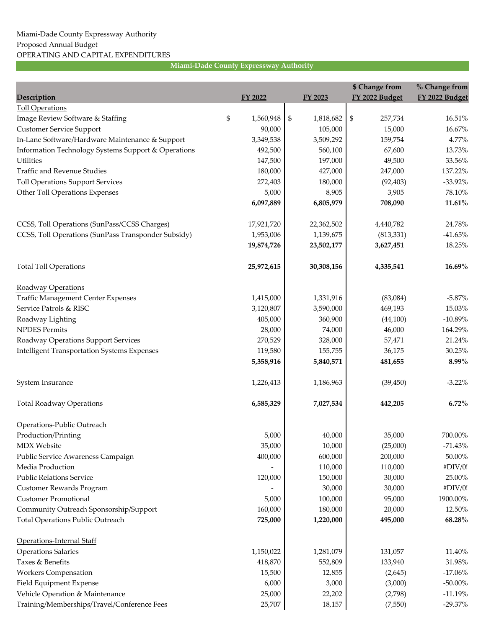|                                                     |                 |                 | \$ Change from | % Change from  |
|-----------------------------------------------------|-----------------|-----------------|----------------|----------------|
| Description                                         | <b>FY 2022</b>  | FY 2023         | FY 2022 Budget | FY 2022 Budget |
| <b>Toll Operations</b>                              |                 |                 |                |                |
| Image Review Software & Staffing                    | \$<br>1,560,948 | \$<br>1,818,682 | \$<br>257,734  | 16.51%         |
| <b>Customer Service Support</b>                     | 90,000          | 105,000         | 15,000         | 16.67%         |
| In-Lane Software/Hardware Maintenance & Support     | 3,349,538       | 3,509,292       | 159,754        | 4.77%          |
| Information Technology Systems Support & Operations | 492,500         | 560,100         | 67,600         | 13.73%         |
| <b>Utilities</b>                                    | 147,500         | 197,000         | 49,500         | 33.56%         |
| Traffic and Revenue Studies                         | 180,000         | 427,000         | 247,000        | 137.22%        |
| <b>Toll Operations Support Services</b>             | 272,403         | 180,000         | (92, 403)      | $-33.92\%$     |
| Other Toll Operations Expenses                      | 5,000           | 8,905           | 3,905          | 78.10%         |
|                                                     | 6,097,889       | 6,805,979       | 708,090        | 11.61%         |
| CCSS, Toll Operations (SunPass/CCSS Charges)        | 17,921,720      | 22,362,502      | 4,440,782      | 24.78%         |
| CCSS, Toll Operations (SunPass Transponder Subsidy) | 1,953,006       | 1,139,675       | (813, 331)     | $-41.65%$      |
|                                                     | 19,874,726      | 23,502,177      | 3,627,451      | 18.25%         |
| <b>Total Toll Operations</b>                        | 25,972,615      | 30,308,156      | 4,335,541      | 16.69%         |
| Roadway Operations                                  |                 |                 |                |                |
| <b>Traffic Management Center Expenses</b>           | 1,415,000       | 1,331,916       | (83,084)       | $-5.87\%$      |
| Service Patrols & RISC                              | 3,120,807       | 3,590,000       | 469,193        | 15.03%         |
| Roadway Lighting                                    | 405,000         | 360,900         | (44, 100)      | $-10.89%$      |
| <b>NPDES Permits</b>                                | 28,000          | 74,000          | 46,000         | 164.29%        |
| Roadway Operations Support Services                 | 270,529         | 328,000         | 57,471         | 21.24%         |
| <b>Intelligent Transportation Systems Expenses</b>  | 119,580         | 155,755         | 36,175         | 30.25%         |
|                                                     | 5,358,916       | 5,840,571       | 481,655        | 8.99%          |
| System Insurance                                    | 1,226,413       | 1,186,963       | (39, 450)      | $-3.22\%$      |
| <b>Total Roadway Operations</b>                     | 6,585,329       | 7,027,534       | 442,205        | $6.72\%$       |
| Operations-Public Outreach                          |                 |                 |                |                |
| Production/Printing                                 | 5,000           | 40,000          | 35,000         | 700.00%        |
| <b>MDX</b> Website                                  | 35,000          | 10,000          | (25,000)       | $-71.43%$      |
| Public Service Awareness Campaign                   | 400,000         | 600,000         | 200,000        | 50.00%         |
| Media Production                                    |                 | 110,000         | 110,000        | #DIV/0!        |
| <b>Public Relations Service</b>                     | 120,000         | 150,000         | 30,000         | 25.00%         |
| Customer Rewards Program                            |                 | 30,000          | 30,000         | #DIV/0!        |
| <b>Customer Promotional</b>                         | 5,000           | 100,000         | 95,000         | 1900.00%       |
| Community Outreach Sponsorship/Support              | 160,000         | 180,000         | 20,000         | 12.50%         |
| <b>Total Operations Public Outreach</b>             | 725,000         | 1,220,000       | 495,000        | 68.28%         |
| Operations-Internal Staff                           |                 |                 |                |                |
| <b>Operations Salaries</b>                          | 1,150,022       | 1,281,079       | 131,057        | 11.40%         |
| Taxes & Benefits                                    | 418,870         | 552,809         | 133,940        | 31.98%         |
| <b>Workers Compensation</b>                         | 15,500          | 12,855          | (2,645)        | $-17.06%$      |
| Field Equipment Expense                             | 6,000           | 3,000           | (3,000)        | $-50.00\%$     |
| Vehicle Operation & Maintenance                     | 25,000          | 22,202          | (2,798)        | $-11.19%$      |
| Training/Memberships/Travel/Conference Fees         | 25,707          | 18,157          | (7,550)        | $-29.37%$      |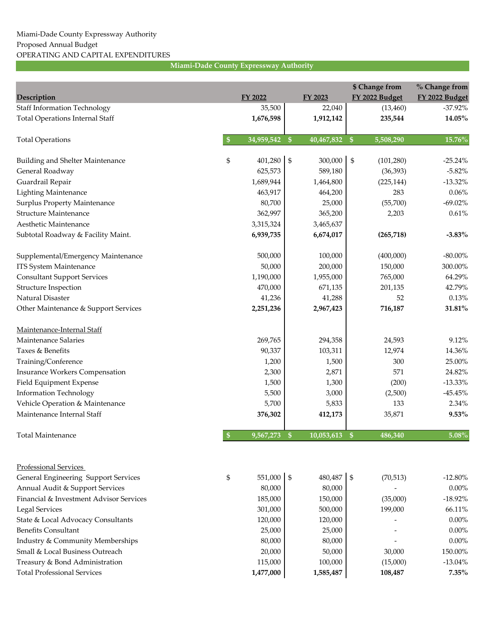| Description                             | <b>FY 2022</b>   |                           | FY 2023    |                   | \$ Change from<br>FY 2022 Budget | % Change from<br>FY 2022 Budget |
|-----------------------------------------|------------------|---------------------------|------------|-------------------|----------------------------------|---------------------------------|
| <b>Staff Information Technology</b>     | 35,500           |                           | 22,040     |                   | (13, 460)                        | $-37.92\%$                      |
| <b>Total Operations Internal Staff</b>  | 1,676,598        |                           | 1,912,142  |                   | 235,544                          | 14.05%                          |
|                                         |                  |                           |            |                   |                                  |                                 |
| <b>Total Operations</b>                 | \$<br>34,959,542 | $\sqrt{\ }$               | 40,467,832 | $\boldsymbol{\$}$ | 5,508,290                        | 15.76%                          |
| Building and Shelter Maintenance        | \$<br>401,280    | $\mathfrak{s}$            | 300,000    | $\mathfrak s$     | (101, 280)                       | $-25.24%$                       |
| General Roadway                         | 625,573          |                           | 589,180    |                   | (36, 393)                        | $-5.82%$                        |
| Guardrail Repair                        | 1,689,944        |                           | 1,464,800  |                   | (225, 144)                       | $-13.32\%$                      |
| <b>Lighting Maintenance</b>             | 463,917          |                           | 464,200    |                   | 283                              | 0.06%                           |
| <b>Surplus Property Maintenance</b>     | 80,700           |                           | 25,000     |                   | (55,700)                         | $-69.02\%$                      |
| Structure Maintenance                   | 362,997          |                           | 365,200    |                   | 2,203                            | 0.61%                           |
| Aesthetic Maintenance                   | 3,315,324        |                           | 3,465,637  |                   |                                  |                                 |
| Subtotal Roadway & Facility Maint.      | 6,939,735        |                           | 6,674,017  |                   | (265, 718)                       | $-3.83\%$                       |
| Supplemental/Emergency Maintenance      | 500,000          |                           | 100,000    |                   | (400,000)                        | $-80.00\%$                      |
| <b>ITS System Maintenance</b>           | 50,000           |                           | 200,000    |                   | 150,000                          | 300.00%                         |
| <b>Consultant Support Services</b>      | 1,190,000        |                           | 1,955,000  |                   | 765,000                          | 64.29%                          |
| <b>Structure Inspection</b>             | 470,000          |                           | 671,135    |                   | 201,135                          | 42.79%                          |
| Natural Disaster                        | 41,236           |                           | 41,288     |                   | 52                               | 0.13%                           |
| Other Maintenance & Support Services    | 2,251,236        |                           | 2,967,423  |                   | 716,187                          | 31.81%                          |
| Maintenance-Internal Staff              |                  |                           |            |                   |                                  |                                 |
| Maintenance Salaries                    | 269,765          |                           | 294,358    |                   | 24,593                           | 9.12%                           |
| Taxes & Benefits                        | 90,337           |                           | 103,311    |                   | 12,974                           | 14.36%                          |
| Training/Conference                     | 1,200            |                           | 1,500      |                   | 300                              | 25.00%                          |
| <b>Insurance Workers Compensation</b>   | 2,300            |                           | 2,871      |                   | 571                              | 24.82%                          |
| Field Equipment Expense                 | 1,500            |                           | 1,300      |                   | (200)                            | $-13.33%$                       |
| <b>Information Technology</b>           | 5,500            |                           | 3,000      |                   | (2,500)                          | $-45.45%$                       |
| Vehicle Operation & Maintenance         | 5,700            |                           | 5,833      |                   | 133                              | 2.34%                           |
| Maintenance Internal Staff              | 376,302          |                           | 412,173    |                   | 35,871                           | 9.53%                           |
| Total Maintenance                       | $9,567,273$ \$   |                           | 10,053,613 | $\mathbf{\$}$     | 486,340                          | $5.08\%$                        |
|                                         |                  |                           |            |                   |                                  |                                 |
| <b>Professional Services</b>            |                  |                           |            |                   |                                  |                                 |
| General Engineering Support Services    | \$<br>551,000    | $\boldsymbol{\mathsf{S}}$ | 480,487    | \$                | (70, 513)                        | $-12.80\%$                      |
| Annual Audit & Support Services         | 80,000           |                           | 80,000     |                   |                                  | $0.00\%$                        |
| Financial & Investment Advisor Services | 185,000          |                           | 150,000    |                   | (35,000)                         | $-18.92%$                       |
| <b>Legal Services</b>                   | 301,000          |                           | 500,000    |                   | 199,000                          | 66.11%                          |
| State & Local Advocacy Consultants      | 120,000          |                           | 120,000    |                   |                                  | $0.00\%$                        |
| <b>Benefits Consultant</b>              | 25,000           |                           | 25,000     |                   |                                  | $0.00\%$                        |
| Industry & Community Memberships        | 80,000           |                           | 80,000     |                   |                                  | $0.00\%$                        |
| Small & Local Business Outreach         | 20,000           |                           | 50,000     |                   | 30,000                           | 150.00%                         |
| Treasury & Bond Administration          | 115,000          |                           | 100,000    |                   | (15,000)                         | $-13.04%$                       |
| <b>Total Professional Services</b>      | 1,477,000        |                           | 1,585,487  |                   | 108,487                          | $7.35\%$                        |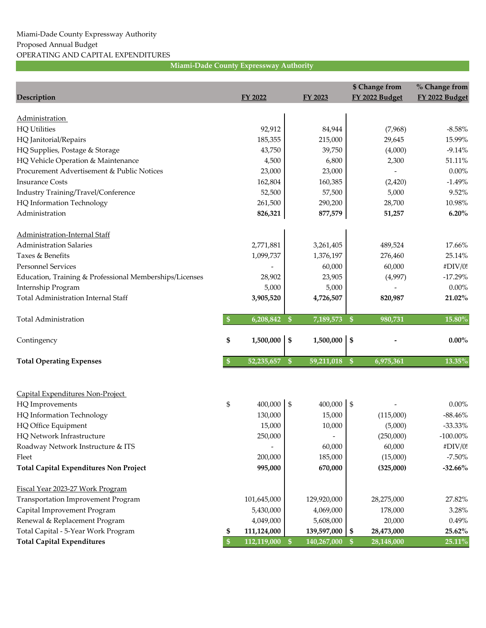| Description                                             |                   | <b>FY 2022</b>     |               | <b>FY 2023</b>   |               | \$ Change from<br>FY 2022 Budget | % Change from<br>FY 2022 Budget |
|---------------------------------------------------------|-------------------|--------------------|---------------|------------------|---------------|----------------------------------|---------------------------------|
| <b>Administration</b>                                   |                   |                    |               |                  |               |                                  |                                 |
| <b>HQ Utilities</b>                                     |                   | 92,912             |               | 84,944           |               | (7,968)                          | $-8.58%$                        |
| HQ Janitorial/Repairs                                   |                   | 185,355            |               | 215,000          |               | 29,645                           | 15.99%                          |
| HQ Supplies, Postage & Storage                          |                   | 43,750             |               | 39,750           |               | (4,000)                          | $-9.14%$                        |
| HQ Vehicle Operation & Maintenance                      |                   | 4,500              |               | 6,800            |               | 2,300                            | 51.11%                          |
| Procurement Advertisement & Public Notices              |                   | 23,000             |               | 23,000           |               |                                  | $0.00\%$                        |
| <b>Insurance Costs</b>                                  |                   | 162,804            |               | 160,385          |               | (2, 420)                         | $-1.49%$                        |
| Industry Training/Travel/Conference                     |                   | 52,500             |               | 57,500           |               | 5,000                            | 9.52%                           |
| HQ Information Technology                               |                   | 261,500            |               | 290,200          |               | 28,700                           | 10.98%                          |
| Administration                                          |                   | 826,321            |               | 877,579          |               | 51,257                           | 6.20%                           |
| Administration-Internal Staff                           |                   |                    |               |                  |               |                                  |                                 |
| <b>Administration Salaries</b>                          |                   | 2,771,881          |               | 3,261,405        |               | 489,524                          | 17.66%                          |
| Taxes & Benefits                                        |                   | 1,099,737          |               | 1,376,197        |               | 276,460                          | 25.14%                          |
| <b>Personnel Services</b>                               |                   |                    |               | 60,000           |               | 60,000                           | #DIV/0!                         |
| Education, Training & Professional Memberships/Licenses |                   | 28,902             |               | 23,905           |               | (4,997)                          | $-17.29%$                       |
| Internship Program                                      |                   | 5,000              |               | 5,000            |               |                                  | $0.00\%$                        |
| <b>Total Administration Internal Staff</b>              |                   | 3,905,520          |               | 4,726,507        |               | 820,987                          | 21.02%                          |
| <b>Total Administration</b>                             | $\boldsymbol{\$}$ | 6,208,842          | $\frac{1}{2}$ | 7,189,573        | $\sqrt{S}$    | 980,731                          | 15.80%                          |
| Contingency                                             | \$                | 1,500,000          | \$            | 1,500,000        | \$            |                                  | $0.00\%$                        |
| <b>Total Operating Expenses</b>                         | \$                | 52,235,657         | $\frac{1}{2}$ | 59,211,018       | $\frac{1}{2}$ | 6,975,361                        | 13.35%                          |
|                                                         |                   |                    |               |                  |               |                                  |                                 |
| Capital Expenditures Non-Project                        |                   |                    |               |                  |               |                                  |                                 |
| HQ Improvements                                         | \$                | 400,000<br>130,000 | \$            | 400,000          | $\frac{6}{5}$ |                                  | $0.00\%$<br>$-88.46%$           |
| HQ Information Technology                               |                   | 15,000             |               | 15,000<br>10,000 |               | (115,000)                        | $-33.33\%$                      |
| HQ Office Equipment<br>HQ Network Infrastructure        |                   |                    |               |                  |               | (5,000)<br>(250,000)             |                                 |
|                                                         |                   | 250,000            |               | 60,000           |               |                                  | $-100.00\%$                     |
| Roadway Network Instructure & ITS<br>Fleet              |                   | 200,000            |               | 185,000          |               | 60,000<br>(15,000)               | #DIV/0!<br>$-7.50\%$            |
| <b>Total Capital Expenditures Non Project</b>           |                   | 995,000            |               | 670,000          |               | (325,000)                        | $-32.66%$                       |
|                                                         |                   |                    |               |                  |               |                                  |                                 |
| Fiscal Year 2023-27 Work Program                        |                   |                    |               |                  |               |                                  |                                 |
| Transportation Improvement Program                      |                   | 101,645,000        |               | 129,920,000      |               | 28,275,000                       | 27.82%                          |
| Capital Improvement Program                             |                   | 5,430,000          |               | 4,069,000        |               | 178,000                          | 3.28%                           |
| Renewal & Replacement Program                           |                   | 4,049,000          |               | 5,608,000        |               | 20,000                           | 0.49%                           |
| Total Capital - 5-Year Work Program                     | \$                | 111,124,000        |               | 139,597,000      | \$            | 28,473,000                       | 25.62%                          |
| <b>Total Capital Expenditures</b>                       | $\$\$             | 112,119,000        | $\mathbf{\$}$ | 140,267,000      | $\mathbf{\$}$ | 28,148,000                       | $25.11\%$                       |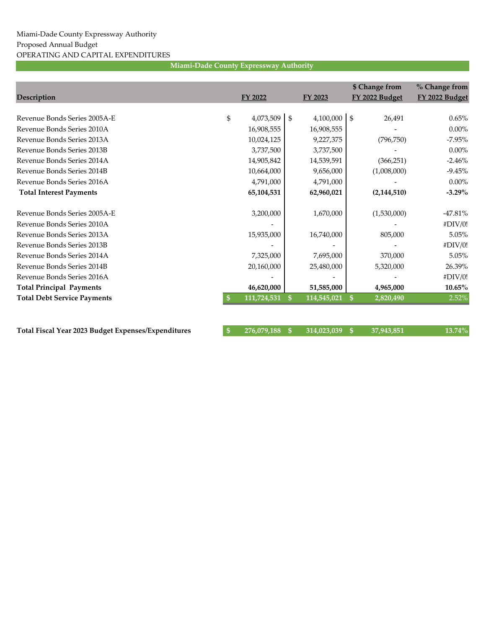|                                    |                 |              |             |               | \$ Change from | % Change from  |
|------------------------------------|-----------------|--------------|-------------|---------------|----------------|----------------|
| Description                        | FY 2022         |              | FY 2023     |               | FY 2022 Budget | FY 2022 Budget |
|                                    |                 |              |             |               |                |                |
| Revenue Bonds Series 2005A-E       | \$<br>4,073,509 | \$           | 4,100,000   | \$            | 26,491         | 0.65%          |
| Revenue Bonds Series 2010A         | 16,908,555      |              | 16,908,555  |               |                | $0.00\%$       |
| Revenue Bonds Series 2013A         | 10,024,125      |              | 9,227,375   |               | (796, 750)     | $-7.95%$       |
| Revenue Bonds Series 2013B         | 3,737,500       |              | 3,737,500   |               |                | $0.00\%$       |
| Revenue Bonds Series 2014A         | 14,905,842      |              | 14,539,591  |               | (366, 251)     | $-2.46%$       |
| Revenue Bonds Series 2014B         | 10,664,000      |              | 9,656,000   |               | (1,008,000)    | $-9.45%$       |
| Revenue Bonds Series 2016A         | 4,791,000       |              | 4,791,000   |               |                | $0.00\%$       |
| <b>Total Interest Payments</b>     | 65,104,531      |              | 62,960,021  |               | (2, 144, 510)  | $-3.29\%$      |
|                                    |                 |              |             |               |                |                |
| Revenue Bonds Series 2005A-E       | 3,200,000       |              | 1,670,000   |               | (1,530,000)    | $-47.81\%$     |
| Revenue Bonds Series 2010A         |                 |              |             |               |                | #DIV/0!        |
| Revenue Bonds Series 2013A         | 15,935,000      |              | 16,740,000  |               | 805,000        | 5.05%          |
| Revenue Bonds Series 2013B         |                 |              |             |               |                | #DIV/0!        |
| Revenue Bonds Series 2014A         | 7,325,000       |              | 7,695,000   |               | 370,000        | 5.05%          |
| Revenue Bonds Series 2014B         | 20,160,000      |              | 25,480,000  |               | 5,320,000      | 26.39%         |
| Revenue Bonds Series 2016A         |                 |              |             |               |                | #DIV/0!        |
| <b>Total Principal Payments</b>    | 46,620,000      |              | 51,585,000  |               | 4,965,000      | $10.65\%$      |
| <b>Total Debt Service Payments</b> | 111,724,531     | $\mathbf{s}$ | 114,545,021 | <sup>\$</sup> | 2,820,490      | 2.52%          |
|                                    |                 |              |             |               |                |                |

| Total Fiscal Year 2023 Budget Expenses/Expenditures | $$276,079,188$ \$ 314,023,039 \$ 37,943,851 |  | $13.74\%$ |
|-----------------------------------------------------|---------------------------------------------|--|-----------|
|                                                     |                                             |  |           |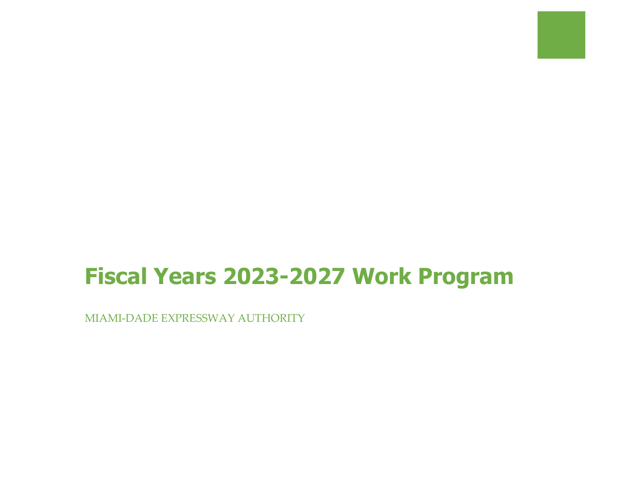# **Fiscal Years 2023-2027 Work Program**

MIAMI-DADE EXPRESSWAY AUTHORITY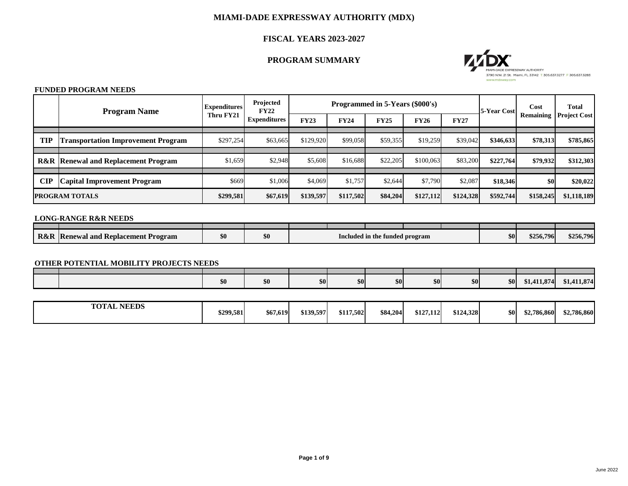## **FISCAL YEARS 2023-2027**

# **PROGRAM SUMMARY**

## **FUNDED PROGRAM NEEDS**

|            | <b>Program Name</b>                            | <b>Expenditures</b> | Projected<br><b>FY22</b> |             | Programmed in 5-Years (\$000's) |             |             | <b>5-Year Cost</b> | Cost<br><b>Remaining</b> | <b>Total</b>    |                     |
|------------|------------------------------------------------|---------------------|--------------------------|-------------|---------------------------------|-------------|-------------|--------------------|--------------------------|-----------------|---------------------|
|            |                                                | Thru FY21           | <b>Expenditures</b>      | <b>FY23</b> | <b>FY24</b>                     | <b>FY25</b> | <b>FY26</b> | <b>FY27</b>        |                          |                 | <b>Project Cost</b> |
| <b>TIP</b> | <b>Transportation Improvement Program</b>      | \$297,254           | \$63,665                 | \$129,920   | \$99,058                        | \$59,355    | \$19,259    | \$39,042           | \$346,633                | <b>\$78,313</b> | \$785,865           |
|            |                                                |                     |                          |             |                                 |             |             |                    |                          |                 |                     |
|            | <b>R&amp;R Renewal and Replacement Program</b> | \$1,659             | \$2,948                  | \$5,608     | \$16,688                        | \$22,205    | \$100,063   | \$83,200           | \$227,764                | \$79,932        | \$312,303           |
|            |                                                |                     |                          |             |                                 |             |             |                    |                          |                 |                     |
| <b>CIP</b> | <b>Capital Improvement Program</b>             | \$669               | \$1,006                  | \$4,069     | \$1,757                         | \$2,644     | \$7,790     | \$2,087            | \$18,346                 | <b>SO</b>       | \$20,022            |
|            | <b>PROGRAM TOTALS</b>                          | \$299,581           | \$67,619                 | \$139,597   | \$117,502                       | \$84,204    | \$127,112   | \$124,328          | \$592,744                | \$158,245       | \$1,118,189         |

## **LONG-RANGE R&R NEEDS**

## **OTHER POTENTIAL MOBILITY PROJECTS NEEDS**

| <b>\$01</b> | $ $ so $ $<br>$ $ \$0<br>\$0<br><b>\$0</b><br><b>\$0</b><br>\$0<br>50 | \$1,411,874<br>\$1,411,874 |  |  |
|-------------|-----------------------------------------------------------------------|----------------------------|--|--|

| <b>R&amp;R</b> | n<br>d Replacement Program<br><b>Renewal and</b> | \$0 |  | Included in the | e funded program | \$0l | \$256,796 | \$256,796 |
|----------------|--------------------------------------------------|-----|--|-----------------|------------------|------|-----------|-----------|

| <b>NEEDS</b><br><b>TOTAL</b> | \$299,581 | \$67,619 | \$139,597 | \$117,502 | \$84,204 | \$127,112 | \$124,328 | <b>\$0</b> | \$2,786,860 | \$2,786,860 |
|------------------------------|-----------|----------|-----------|-----------|----------|-----------|-----------|------------|-------------|-------------|
|------------------------------|-----------|----------|-----------|-----------|----------|-----------|-----------|------------|-------------|-------------|

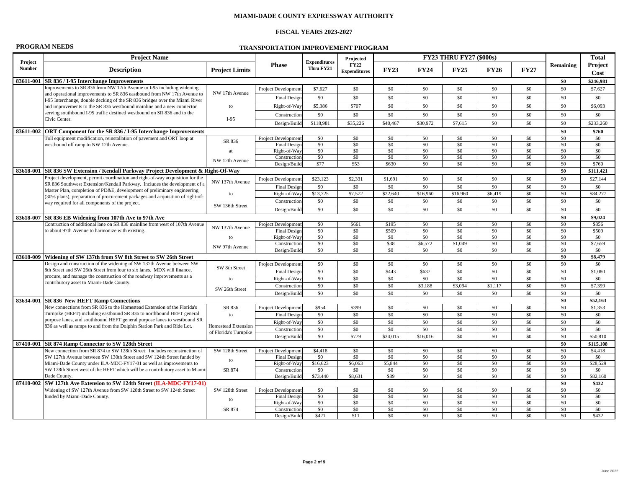# **FISCAL YEARS 2023-2027**

|  | <b>PROGRAM NEEDS</b> |  |  |  |
|--|----------------------|--|--|--|
|--|----------------------|--|--|--|

**TRANSPORTATION IMPROVEMENT PROGRAM** 

|                          | <b>Project Name</b>                                                                                                                              |                       |                                            |                                  | Projected                   |             |                | <b>FY23 THRU FY27 (\$000s)</b> |             |             |                  | <b>Total</b>           |
|--------------------------|--------------------------------------------------------------------------------------------------------------------------------------------------|-----------------------|--------------------------------------------|----------------------------------|-----------------------------|-------------|----------------|--------------------------------|-------------|-------------|------------------|------------------------|
| Project<br><b>Number</b> | <b>Description</b>                                                                                                                               | <b>Project Limits</b> | <b>Phase</b>                               | <b>Expenditures</b><br>Thru FY21 | FY22<br><b>Expenditures</b> | <b>FY23</b> | <b>FY24</b>    | <b>FY25</b>                    | <b>FY26</b> | <b>FY27</b> | <b>Remaining</b> | Project<br><b>Cost</b> |
|                          | 83611-001 SR 836 / I-95 Interchange Improvements                                                                                                 |                       |                                            |                                  |                             |             |                |                                |             |             | \$0              | \$246,981              |
|                          | Improvements to SR 836 from NW 17th Avenue to I-95 including widening                                                                            |                       | <b>Project Development</b>                 | \$7,627                          | \$0                         | \$0         | \$0            | \$0                            | \$0         | \$0         | \$0              | \$7,627                |
|                          | and operational improvements to SR 836 eastbound from NW 17th Avenue to                                                                          | NW 17th Avenue        | Final Design                               | \$0\$                            | \$0                         | \$0         | \$0\$          | \$0                            | \$0         | \$0         | \$0              | \$0                    |
|                          | I-95 Interchange, double decking of the SR 836 bridges over the Miami River                                                                      | to                    | Right-of-Way                               | \$5,386                          | \$707                       | \$0         | \$0\$          | \$0                            | \$0         | \$0         | \$0              | \$6,093                |
|                          | and improvements to the SR 836 westbound mainline and a new connector<br>serving southbound I-95 traffic destined westbound on SR 836 and to the |                       |                                            |                                  |                             |             |                |                                |             |             |                  |                        |
|                          | Civic Center.                                                                                                                                    | $I-95$                | Construction                               | \$0\$                            | \$0                         | \$0         | \$0\$          | \$0                            | \$0         | \$0         | \$0              | \$0                    |
|                          |                                                                                                                                                  |                       | Design/Build                               | \$118,981                        | \$35,226                    | \$40,467    | \$30,972       | \$7,615                        | \$0         | \$0         | \$0              | \$233,260              |
|                          | 83611-002 ORT Component for the SR 836 / I-95 Interchange Improvements                                                                           |                       |                                            |                                  |                             |             |                |                                |             |             | \$0              | \$760                  |
|                          | Toll equipment modification, reinstallation of pavement and ORT loop at                                                                          | SR 836                | Project Development                        | \$0                              | \$0                         | \$0         | \$0\$          | \$0                            | \$0         | \$0         | \$0              | \$0                    |
|                          | westbound off ramp to NW 12th Avenue.                                                                                                            | at                    | Final Design<br>Right-of-Way               | \$0<br>\$0                       | \$0<br>\$0                  | \$0<br>\$0  | \$0\$<br>\$0\$ | \$0<br>\$0                     | \$0<br>\$0  | \$0<br>\$0  | \$0<br>\$0       | \$0<br>\$0             |
|                          |                                                                                                                                                  |                       | Construction                               | \$0                              | \$0                         | \$0         | \$0            | \$0                            | \$0         | \$0         | \$0              | \$0                    |
|                          |                                                                                                                                                  | NW 12th Avenue        | Design/Build                               | \$77                             | \$53                        | \$630       | \$0\$          | \$0                            | \$0         | \$0         | \$0              | \$760                  |
|                          | 83618-001 SR 836 SW Extension / Kendall Parkway Project Development & Right-Of-Way                                                               |                       |                                            |                                  |                             |             |                |                                |             |             | \$0              | \$111,421              |
|                          | Project development, permit coordination and right-of-way acquisition for the                                                                    |                       | <b>Project Development</b>                 | \$23,123                         | \$2,331                     | \$1,691     | \$0            | \$0                            | \$0         | \$0         | \$0              | \$27,144               |
|                          | SR 836 Southwest Extension/Kendall Parkway. Includes the development of a                                                                        | NW 137th Avenue       | Final Design                               | \$0                              | \$0                         | $\$0$       | \$0\$          | \$0                            | \$0         | \$0         | \$0              | \$0                    |
|                          | Master Plan, completion of PD&E, development of preliminary engineering                                                                          | to                    | Right-of-Way                               | \$13,725                         | \$7,572                     | \$22,640    | \$16,960       | \$16,960                       | \$6,419     | \$0         | \$0              | \$84,277               |
|                          | (30% plans), preparation of procurement packages and acquisition of right-of-<br>way required for all components of the project.                 |                       | Construction                               | \$0\$                            | \$0                         | \$0         | \$0\$          | \$0                            | \$0         | \$0         | \$0              | \$0                    |
|                          |                                                                                                                                                  | SW 136th Street       | Design/Build                               | \$0                              | \$0                         | \$0         | \$0            | \$0\$                          | \$0         | \$0         | \$0              | \$0                    |
|                          | 83618-007 SR 836 EB Widening from 107th Ave to 97th Ave                                                                                          |                       |                                            |                                  |                             |             |                |                                |             |             | \$0              | \$9,024                |
|                          | Contruction of additional lane on SR 836 mainline from west of 107th Avenue                                                                      |                       | <b>Project Development</b>                 | \$0                              | \$661                       | \$195       | \$0            | $\$0$                          | \$0         | \$0         | \$0              | \$856                  |
|                          | to about 97th Avenue to harmonize with existing.                                                                                                 | NW 137th Avenue       | Final Design                               | \$0                              | \$0                         | \$509       | \$0\$          | \$0                            | \$0         | \$0         | \$0              | \$509                  |
|                          |                                                                                                                                                  | to                    | Right-of-Way                               | \$0                              | \$0                         | $\$0$       | \$0\$          | \$0                            | \$0         | \$0         | \$0              | \$0                    |
|                          |                                                                                                                                                  | NW 97th Avenue        | Construction                               | \$0                              | \$0                         | \$38        | \$6,572        | \$1,049                        | \$0         | \$0         | \$0              | \$7,659                |
|                          |                                                                                                                                                  |                       | Design/Build                               | \$0\$                            | \$0                         | \$0         | \$0\$          | \$0                            | \$0         | \$0         | \$0              | \$0                    |
|                          | 83618-009 Widening of SW 137th from SW 8th Street to SW 26th Street                                                                              |                       |                                            |                                  |                             |             |                |                                |             |             | \$0              | \$8,479                |
|                          | Design and construction of the widening of SW 137th Avenue between SW                                                                            | SW 8th Street         | <b>Project Development</b>                 | \$0                              | \$0                         | \$0         | \$0            | \$0                            | \$0         | \$0         | \$0              | \$0                    |
|                          | 8th Street and SW 26th Street from four to six lanes. MDX will finance,<br>procure, and manage the construction of the roadway improvements as a |                       | Final Design                               | \$0                              | \$0                         | \$443       | \$637          | \$0                            | \$0         | \$0         | \$0              | \$1,080                |
|                          | contributory asset to Miami-Dade County.                                                                                                         | to                    | Right-of-Way                               | \$0                              | \$0                         | \$0         | \$0\$          | \$0                            | \$0         | \$0         | \$0              | \$0                    |
|                          |                                                                                                                                                  | SW 26th Street        | Construction                               | \$0                              | \$0                         | \$0         | \$3,188        | \$3,094                        | \$1,117     | \$0         | \$0              | \$7,399                |
|                          |                                                                                                                                                  |                       | Design/Build                               | \$0                              | \$0                         | \$0         | \$0\$          | \$0                            | \$0         | \$0         | \$0              | \$0                    |
|                          | 83634-001 SR 836 New HEFT Ramp Connections                                                                                                       |                       |                                            |                                  |                             |             |                |                                |             |             | \$0              | \$52,163               |
|                          | New connections from SR 836 to the Homestead Extension of the Florida's<br>Turnpike (HEFT) including eastbound SR 836 to northbound HEFT general | SR 836                | <b>Project Development</b>                 | \$954                            | \$399<br>\$0                | \$0<br>\$0  | \$0<br>\$0\$   | \$0<br>\$0                     | \$0<br>\$0  | \$0<br>\$0  | \$0              | \$1,353                |
|                          | purpose lanes, and southbound HEFT general purpose lanes to westbound SR                                                                         | to                    | Final Design                               | \$0                              |                             | \$0         | \$0\$          | \$0                            | \$0         | \$0         | \$0<br>\$0       | \$0<br>\$0             |
|                          | 836 as well as ramps to and from the Dolphin Station Park and Ride Lot.                                                                          | Homestead Extension   | Right-of-Way<br>Construction               | \$0<br>\$0\$                     | \$0<br>\$0                  | $\$0$       | \$0            | \$0                            | \$0         | \$0         | \$0              | \$0                    |
|                          |                                                                                                                                                  | of Florida's Turnpike | Design/Build                               | \$0\$                            | \$779                       | \$34,015    | \$16,016       | \$0                            | \$0         | \$0         | \$0              | \$50,810               |
|                          | 87410-001 SR 874 Ramp Connector to SW 128th Street                                                                                               |                       |                                            |                                  |                             |             |                |                                |             |             | \$0              | \$115,108              |
|                          | New connection from SR 874 to SW 128th Street. Includes reconstruction of                                                                        | SW 128th Street       | <b>Project Development</b>                 | \$4,418                          | \$0                         | \$0         | \$0\$          | \$0                            | \$0         | \$0         | \$0              | \$4,418                |
|                          | SW 127th Avenue between SW 130th Street and SW 124th Street funded by                                                                            |                       | Final Design                               | \$0                              | \$0                         | \$0         | \$0            | \$0                            | \$0         | \$0         | \$0              | \$0                    |
|                          | Miami-Dade County under ILA-MDC-FY17-01 as well as improvements to                                                                               | to                    | Right-of-Way                               | \$16,623                         | \$6,063                     | \$5,844     | \$0\$          | \$0                            | \$0         | \$0         | \$0              | \$28,529               |
|                          | SW 128th Street west of the HEFT which will be a contributory asset to Miami-                                                                    | SR 874                | Construction                               | \$0                              | \$0                         | $\$0$       | \$0\$          | \$0\$                          | \$0         | \$0         | \$0              | \$0                    |
|                          | Dade County.                                                                                                                                     |                       | Design/Build                               | \$73,440                         | \$8,631                     | \$89        | \$0\$          | \$0                            | \$0         | \$0         | \$0              | \$82,160               |
|                          | 87410-002   SW 127th Ave Extension to SW 124th Street (ILA-MDC-FY17-01)                                                                          |                       |                                            |                                  |                             |             |                |                                |             |             | \$0              | \$432                  |
|                          | Widening of SW 127th Avenue from SW 128th Street to SW 124th Street<br>funded by Miami-Dade County.                                              | SW 128th Street       | <b>Project Development</b><br>Final Design | \$0<br>\$0                       | \$0<br>\$0                  | \$0<br>\$0  | \$0\$<br>\$0   | \$0<br>\$0                     | \$0<br>\$0  | \$0<br>\$0  | \$0<br>\$0       | \$0<br>\$0             |
|                          |                                                                                                                                                  | to                    | Right-of-Way                               | \$0                              | \$0                         | \$0         | \$0\$          | \$0                            | \$0         | \$0         | \$0              | \$0                    |
|                          |                                                                                                                                                  | SR 874                | Construction                               | \$0                              | \$0                         | \$0         | \$0\$          | \$0                            | \$0         | \$0         | \$0              | \$0                    |
|                          |                                                                                                                                                  |                       | Design/Build                               | \$421                            | \$11                        | \$0         | \$0            | \$0                            | \$0         | \$0         | \$0              | \$432                  |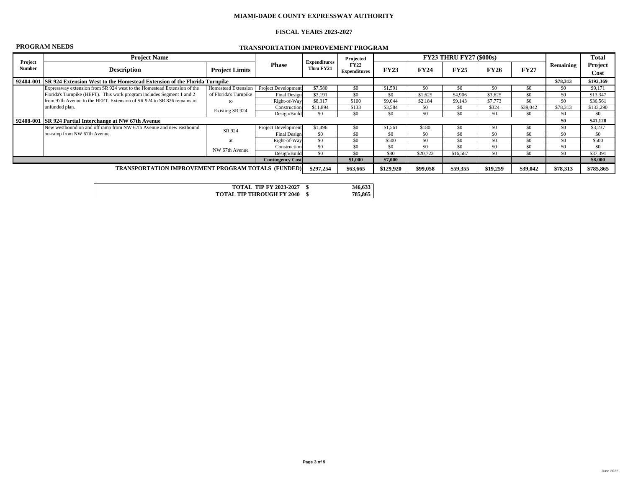# **FISCAL YEARS 2023-2027**

# **PROGRAM NEEDS TRANSPORTATION IMPROVEMENT PROGRAM**

|                                                           | <b>Project Name</b>                                                                                                   |                       |                            |                                  | Projected                   |             |             | <b>FY23 THRU FY27 (\$000s)</b> |             |             |           | <b>Total</b>    |
|-----------------------------------------------------------|-----------------------------------------------------------------------------------------------------------------------|-----------------------|----------------------------|----------------------------------|-----------------------------|-------------|-------------|--------------------------------|-------------|-------------|-----------|-----------------|
| Project<br><b>Number</b>                                  | <b>Description</b>                                                                                                    | <b>Project Limits</b> | <b>Phase</b>               | <b>Expenditures</b><br>Thru FY21 | FY22<br><b>Expenditures</b> | <b>FY23</b> | <b>FY24</b> | <b>FY25</b>                    | <b>FY26</b> | <b>FY27</b> | Remaining | Project<br>Cost |
|                                                           | 92404-001 SR 924 Extension West to the Homestead Extension of the Florida Turnpike                                    |                       |                            |                                  |                             |             |             |                                |             |             | \$78,313  | \$192,369       |
|                                                           | Expressway extension from SR 924 west to the Homestead Extension of the                                               | Project Development   | \$7,580                    | \$0                              | \$1,591                     | \$0         |             | \$0                            | \$0         | \$0         | \$9,171   |                 |
|                                                           | Homestead Extension<br>Florida's Turnpike (HEFT). This work program includes Segment 1 and 2<br>of Florida's Turnpike |                       | Final Design               | \$3,191                          | \$0                         | \$0\$       | \$1,625     | \$4,906                        | \$3,625     | \$0\$       | \$0       | \$13,347        |
|                                                           | from 97th Avenue to the HEFT. Extension of SR 924 to SR 826 remains in                                                |                       | Right-of-Way               | \$8,317                          | \$100                       | \$9,044     | \$2,184     | \$9,143                        | \$7,773     | \$0         | \$0       | \$36,561        |
|                                                           | unfunded plan.                                                                                                        |                       | Construction               | \$11,894                         | \$133                       | \$3,584     | \$0         | \$0                            | \$324       | \$39,042    | \$78,313  | \$133,290       |
|                                                           |                                                                                                                       | Existing SR 924       | Design/Build               | \$0                              | \$0                         | \$0\$       | \$0         | \$0                            | \$0         | \$0\$       | \$0       | \$0             |
|                                                           | 92408-001 SR 924 Partial Interchange at NW 67th Avenue                                                                |                       |                            |                                  |                             |             |             |                                |             |             | \$0       | \$41,128        |
|                                                           | New westbound on and off ramp from NW 67th Avenue and new eastbound                                                   | SR 924                | <b>Project Development</b> | \$1,496                          | \$0                         | \$1,561     | \$180       | \$0                            | \$0         | $\$0$       | \$0       | \$3,237         |
|                                                           | on-ramp from NW 67th Avenue.                                                                                          |                       | Final Design               | \$0\$                            | \$0                         | $\$0$       | \$0         | \$0                            | \$0         | \$0         | \$0       | \$0             |
|                                                           |                                                                                                                       | a1                    | $Right-of-Way$             | \$0                              | \$0                         | \$500       | \$0         | \$0                            | \$0         | \$0         | \$0       | \$500           |
|                                                           |                                                                                                                       | NW 67th Avenue        | Construction               | \$0                              | \$0                         | \$0\$       | \$0         | \$0                            | \$0         | \$0\$       | \$0       | \$0             |
|                                                           |                                                                                                                       |                       | Design/Build               | \$0\$                            | \$0                         | \$80        | \$20,723    | \$16,587                       | \$0         | \$0         | \$0       | \$37,391        |
|                                                           |                                                                                                                       |                       | <b>Contingency Cost</b>    |                                  | \$1,000                     | \$7,000     |             |                                |             |             |           | \$8,000         |
| <b>TRANSPORTATION IMPROVEMENT PROGRAM TOTALS (FUNDED)</b> |                                                                                                                       |                       |                            | \$297,254                        | \$63,665                    | \$129,920   | \$99,058    | \$59,355                       | \$19,259    | \$39,042    | \$78,313  | \$785,865       |
|                                                           |                                                                                                                       |                       |                            |                                  |                             |             |             |                                |             |             |           |                 |

**TOTAL TIP FY 2023-2027**

**TOTAL TIP THROUGH FY 2040**

**\$ 785,865 \$ 346,633**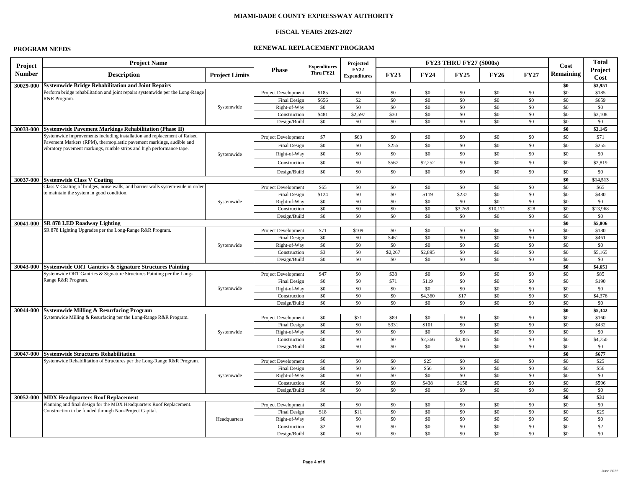# **FISCAL YEARS 2023-2027**

# **PROGRAM NEEDS RENEWAL REPLACEMENT PROGRAM**

| Project       | <b>Project Name</b>                                                                                                                           |                       |                              | <b>Expenditures</b> | Projected                          |                |                | <b>FY23 THRU FY27 (\$000s)</b> |             |             | Cost             | <b>Total</b>    |
|---------------|-----------------------------------------------------------------------------------------------------------------------------------------------|-----------------------|------------------------------|---------------------|------------------------------------|----------------|----------------|--------------------------------|-------------|-------------|------------------|-----------------|
| <b>Number</b> | <b>Description</b>                                                                                                                            | <b>Project Limits</b> | <b>Phase</b>                 | Thru FY21           | <b>FY22</b><br><b>Expenditures</b> | <b>FY23</b>    | <b>FY24</b>    | FY25                           | <b>FY26</b> | <b>FY27</b> | <b>Remaining</b> | Project<br>Cost |
| 30029-000     | <b>Systemwide Bridge Rehabilitation and Joint Repairs</b>                                                                                     |                       |                              |                     |                                    |                |                |                                |             |             | \$0              | \$3,951         |
|               | Perform bridge rehabilitation and joint repairs systemwide per the Long-Range                                                                 |                       | <b>Project Development</b>   | \$185               | \$0                                | \$0            | \$0            | \$0                            | \$0         | \$0         | \$0              | \$185           |
|               | R&R Program.                                                                                                                                  |                       | Final Design                 | \$656               | $\sqrt{32}$                        | \$0            | \$0            | \$0                            | \$0         | \$0         | \$0              | \$659           |
|               |                                                                                                                                               | Systemwide            | Right-of-Way                 | \$0                 | \$0                                | \$0            | \$0            | \$0                            | \$0         | \$0         | \$0              | \$0             |
|               |                                                                                                                                               |                       | Construction                 | \$481               | \$2,597                            | \$30           | \$0            | \$0                            | \$0         | \$0         | \$0              | \$3,108         |
|               |                                                                                                                                               |                       | Design/Build                 | \$0                 | \$0                                | \$0            | \$0            | \$0                            | \$0         | \$0         | \$0              | \$0             |
|               | 30033-000 Systemwide Pavement Markings Rehabilitation (Phase II)                                                                              |                       |                              |                     |                                    |                |                |                                |             |             | \$0              | \$3,145         |
|               | Systemwide improvements including installation and replacement of Raised                                                                      |                       | Project Development          | \$7                 | \$63                               | \$0            | \$0            | \$0                            | \$0         | \$0         | \$0              | \$71            |
|               | Pavement Markers (RPM), thermoplastic pavement markings, audible and<br>vibratory pavement markings, rumble strips and high performance tape. |                       | Final Design                 | \$0                 | \$0                                | \$255          | \$0            | \$0                            | \$0         | \$0\$       | \$0              | \$255           |
|               |                                                                                                                                               | Systemwide            | Right-of-Way                 | \$0                 | \$0                                | \$0            | \$0            | \$0                            | \$0         | \$0\$       | \$0              | \$0             |
|               |                                                                                                                                               |                       | Construction                 | \$0                 | \$0                                | \$567          | \$2,252        | \$0                            | \$0         | \$0         | \$0              | \$2,819         |
|               |                                                                                                                                               |                       | Design/Build                 | \$0                 | \$0                                | \$0            | \$0            | \$0                            | \$0         | \$0         | \$0              | \$0             |
|               | 30037-000 Systemwide Class V Coating                                                                                                          |                       |                              |                     |                                    |                |                |                                |             |             | \$0              | \$14,513        |
|               | Class V Coating of bridges, noise walls, and barrier walls system-wide in order                                                               |                       | Project Development          | \$65                | \$0                                | \$0\$          | \$0            | \$0                            | \$0         | \$0         | \$0              | \$65            |
|               | to maintain the system in good condition.                                                                                                     |                       | Final Design                 | \$124               | \$0                                | \$0\$          | \$119          | \$237                          | \$0         | \$0\$       | \$0              | \$480           |
|               |                                                                                                                                               | Systemwide            | Right-of-Way                 | \$0                 | \$0                                | \$0            | \$0            | \$0                            | \$0         | \$0         | \$0              | \$0             |
|               |                                                                                                                                               |                       | Construction                 | \$0                 | \$0                                | \$0            | \$0            | \$3,769                        | \$10,171    | \$28        | \$0              | \$13,968        |
|               |                                                                                                                                               |                       | Design/Build                 | \$0                 | \$0                                | \$0            | \$0            | \$0                            | \$0         | \$0         | \$0              | \$0             |
| 30041-000     | <b>SR 878 LED Roadway Lighting</b>                                                                                                            |                       |                              |                     |                                    |                |                |                                |             |             | \$0              | \$5,806         |
|               | SR 878 Lighting Upgrades per the Long-Range R&R Program.                                                                                      |                       | <b>Project Development</b>   | \$71                | \$109                              | \$0            | \$0            | \$0                            | \$0         | \$0         | \$0              | \$180           |
|               |                                                                                                                                               |                       | Final Design                 | \$0                 | \$0                                | \$461          | \$0            | \$0                            | \$0         | \$0\$       | \$0              | \$461           |
|               |                                                                                                                                               | Systemwide            | Right-of-Way                 | \$0<br>$\sqrt{3}$   | \$0<br>\$0                         | \$0            | \$0            | \$0<br>\$0                     | \$0<br>\$0  | \$0<br>\$0  | \$0<br>\$0       | \$0             |
|               |                                                                                                                                               |                       | Construction<br>Design/Build | \$0                 | \$0                                | \$2,267<br>\$0 | \$2,895<br>\$0 | \$0                            | \$0         | \$0         | \$0              | \$5,165<br>\$0  |
|               | 30043-000 Systemwide ORT Gantries & Signature Structures Painting                                                                             |                       |                              |                     |                                    |                |                |                                |             |             | \$0              | \$4,651         |
|               | Systemwide ORT Gantries & Signature Structures Painting per the Long-                                                                         |                       | Project Development          | \$47                | \$0                                | \$38           | \$0            | \$0                            | \$0         | \$0         | \$0              | \$85            |
|               | Range R&R Program.                                                                                                                            |                       | Final Design                 | \$0                 | \$0                                | \$71           | \$119          | \$0                            | \$0         | \$0         | \$0              | \$190           |
|               |                                                                                                                                               | Systemwide            | Right-of-Way                 | \$0                 | \$0                                | \$0            | \$0            | \$0                            | \$0         | \$0         | \$0              | \$0             |
|               |                                                                                                                                               |                       | Construction                 | \$0                 | \$0                                | \$0            | \$4,360        | \$17                           | \$0         | \$0         | \$0              | \$4,376         |
|               |                                                                                                                                               |                       | Design/Build                 | \$0                 | \$0                                | \$0            | \$0            | \$0                            | \$0         | \$0         | \$0\$            | \$0             |
| 30044-000     | <b>Systemwide Milling &amp; Resurfacing Program</b>                                                                                           |                       |                              |                     |                                    |                |                |                                |             |             | \$0              | \$5,342         |
|               | Systemwide Milling & Resurfacing per the Long-Range R&R Program.                                                                              |                       | <b>Project Development</b>   | \$0                 | \$71                               | \$89           | \$0            | \$0                            | \$0         | \$0         | \$0              | \$160           |
|               |                                                                                                                                               |                       | Final Design                 | \$0                 | \$0                                | \$331          | \$101          | \$0                            | \$0         | \$0         | \$0              | \$432           |
|               |                                                                                                                                               | Systemwide            | Right-of-Way                 | \$0                 | \$0                                | \$0            | \$0            | \$0                            | \$0         | \$0         | \$0\$            | \$0             |
|               |                                                                                                                                               |                       | Construction                 | \$0                 | \$0                                | \$0            | \$2,366        | \$2,385                        | \$0         | \$0         | \$0              | \$4,750         |
|               |                                                                                                                                               |                       | Design/Build                 | \$0                 | \$0                                | \$0            | \$0            | \$0                            | \$0         | \$0         | \$0              | \$0             |
|               | 30047-000 Systemwide Structures Rehabilitation<br>Systemwide Rehabilitation of Structures per the Long-Range R&R Program.                     |                       | Project Development          | \$0                 | \$0                                | \$0            | \$25           | \$0                            | \$0         | \$0         | \$0<br>\$0\$     | \$677<br>\$25   |
|               |                                                                                                                                               |                       | Final Design                 | \$0                 | \$0                                | \$0            | \$56           | \$0                            | \$0         | \$0         | \$0\$            | \$56            |
|               |                                                                                                                                               | Systemwide            | Right-of-Way                 | \$0                 | \$0                                | \$0            | \$0            | \$0                            | \$0         | \$0         | \$0              | \$0\$           |
|               |                                                                                                                                               |                       | Construction                 | \$0                 | \$0                                | \$0            | \$438          | \$158                          | \$0         | \$0         | \$0              | \$596           |
|               |                                                                                                                                               |                       | Design/Build                 | \$0                 | \$0                                | \$0            | \$0            | \$0                            | \$0         | \$0         | \$0              | \$0             |
|               | 30052-000   MDX Headquarters Roof Replacement                                                                                                 |                       |                              |                     |                                    |                |                |                                |             |             | \$0              | \$31            |
|               | Planning and final design for the MDX Headquarters Roof Replacement.                                                                          |                       | Project Development          | \$0                 | \$0                                | \$0            | \$0            | \$0                            | \$0         | \$0         | \$0              | \$0             |
|               | Construction to be funded through Non-Project Capital.                                                                                        |                       | Final Design                 | \$18                | \$11                               | \$0            | \$0            | \$0                            | \$0         | \$0         | \$0              | \$29            |
|               |                                                                                                                                               | Headquarters          | Right-of-Way                 | \$0                 | \$0                                | \$0            | \$0            | \$0                            | \$0         | \$0         | \$0              | \$0             |
|               |                                                                                                                                               |                       | Construction                 | \$2                 | \$0                                | \$0            | \$0            | \$0                            | \$0         | \$0         | \$0              | \$2             |
|               |                                                                                                                                               |                       | Design/Build                 | \$0                 | \$0                                | \$0            | \$0            | \$0                            | \$0         | \$0         | \$0              | \$0             |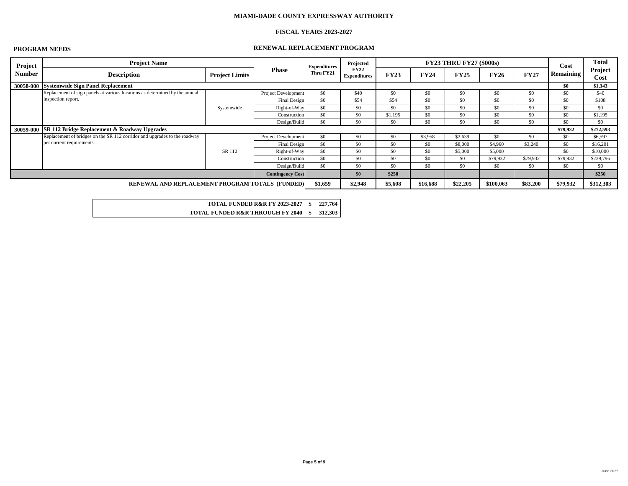# **FISCAL YEARS 2023-2027**

# **PROGRAM NEEDS RENEWAL REPLACEMENT PROGRAM**

| Project                                         | <b>Project Name</b>                                                         |                       |                         | <b>Expenditures</b> | Projected                          |             |             | <b>FY23 THRU FY27 (\$000s)</b> |             |             | Cost             | <b>Total</b>           |
|-------------------------------------------------|-----------------------------------------------------------------------------|-----------------------|-------------------------|---------------------|------------------------------------|-------------|-------------|--------------------------------|-------------|-------------|------------------|------------------------|
| <b>Number</b>                                   | <b>Description</b>                                                          | <b>Project Limits</b> | <b>Phase</b>            | Thru FY21           | <b>FY22</b><br><b>Expenditures</b> | <b>FY23</b> | <b>FY24</b> | <b>FY25</b>                    | <b>FY26</b> | <b>FY27</b> | <b>Remaining</b> | Project<br><b>Cost</b> |
|                                                 | 30058-000 Systemwide Sign Panel Replacement                                 |                       |                         |                     |                                    |             |             |                                |             |             | \$0              | \$1,343                |
|                                                 | Replacement of sign panels at various locations as determined by the annual |                       | Project Development     | \$0                 | \$40                               | \$0         | \$0         | \$0                            | \$0\$       | \$0\$       | \$0              | \$40                   |
|                                                 | inspection report.                                                          |                       | Final Design            | \$0                 | \$54                               | \$54        | \$0\$       | \$0                            | \$0         | \$0         | \$0              | \$108                  |
|                                                 |                                                                             | Systemwide            | $Right-of-Way$          | \$0                 | \$0                                | \$0         | \$0\$       | \$0                            | \$0         | \$0         | \$0              | \$0                    |
|                                                 |                                                                             |                       | Construction            | \$0                 | \$0                                | \$1,195     | \$0         | \$0                            | \$0\$       | \$0         | \$0              | \$1,195                |
|                                                 | 30059-000 SR 112 Bridge Replacement & Roadway Upgrades                      |                       | Design/Build            | \$0                 | \$0                                | \$0\$       | \$0         | \$0                            | \$0\$       | \$0\$       | \$0              | \$0                    |
|                                                 |                                                                             |                       |                         |                     |                                    |             |             |                                |             |             | \$79,932         | \$272,593              |
|                                                 | Replacement of bridges on the SR 112 corridor and upgrades to the roadway   |                       | Project Development     | \$0                 | \$0                                | \$0         | \$3,958     | \$2,639                        | \$0         | \$0\$       | \$0              | \$6,597                |
|                                                 | per current requirements.                                                   |                       | Final Design            | \$0                 | \$0                                | \$0         | \$0         | \$8,000                        | \$4,960     | \$3,240     | \$0              | \$16,201               |
|                                                 |                                                                             | SR 112                | $Right-of-Way$          | \$0                 | \$0                                | \$0\$       | \$0         | \$5,000                        | \$5,000     |             | \$0              | \$10,000               |
|                                                 |                                                                             |                       | Construction            | \$0                 | \$0                                | \$0         | \$0         | \$0                            | \$79,932    | \$79,932    | \$79,932         | \$239,796              |
|                                                 |                                                                             |                       | Design/Build            | \$0                 | \$0                                | \$0         | \$0         | \$0                            | \$0         | $\$0$       | \$0              | \$0                    |
|                                                 |                                                                             |                       | <b>Contingency Cost</b> |                     | \$0                                | \$250       |             |                                |             |             |                  | \$250                  |
| RENEWAL AND REPLACEMENT PROGRAM TOTALS (FUNDED) |                                                                             |                       |                         | \$1,659             | \$2,948                            | \$5,608     | \$16,688    | \$22,205                       | \$100,063   | \$83,200    | \$79,932         | \$312,303              |

| <b>TOTAL FUNDED R&amp;R FY 2023-2027</b>    |  |
|---------------------------------------------|--|
| <b>TOTAL FUNDED R&amp;R THROUGH FY 2040</b> |  |

**TOTAL FUNDED R&R FY 2023-2027 \$ 227,764**

**312,303**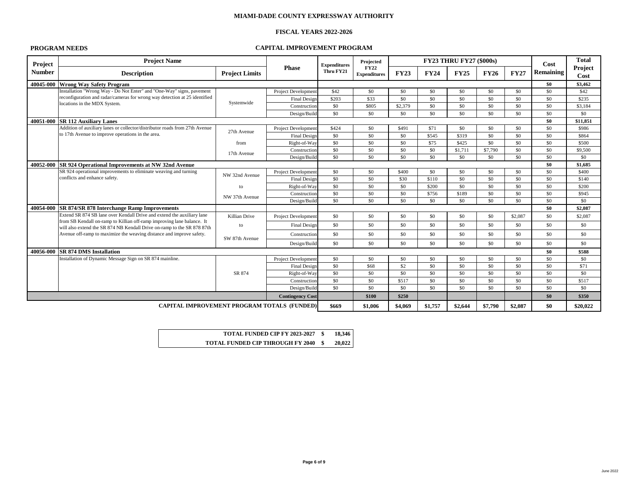# **FISCAL YEARS 2022-2026**

# **PROGRAM NEEDS CAPITAL IMPROVEMENT PROGRAM**

**TOTAL FUNDED CIP FY 2023-2027 \$ 18,346**  $\$\ 20,022$ 

| Project       | <b>Project Name</b>                                                                                                                              |                            |                            | <b>Expenditures</b> | Projected                          |             |             | <b>FY23 THRU FY27 (\$000s)</b> |             |             | Cost             | <b>Total</b>           |
|---------------|--------------------------------------------------------------------------------------------------------------------------------------------------|----------------------------|----------------------------|---------------------|------------------------------------|-------------|-------------|--------------------------------|-------------|-------------|------------------|------------------------|
| <b>Number</b> | <b>Description</b>                                                                                                                               | <b>Project Limits</b>      | <b>Phase</b>               | Thru FY21           | <b>FY22</b><br><b>Expenditures</b> | <b>FY23</b> | <b>FY24</b> | <b>FY25</b>                    | <b>FY26</b> | <b>FY27</b> | <b>Remaining</b> | Project<br><b>Cost</b> |
|               | 40045-000 Wrong Way Safety Program                                                                                                               |                            |                            |                     |                                    |             |             |                                |             |             | \$0              | \$3,462                |
|               | Installation "Wrong Way - Do Not Enter" and "One-Way" signs, pavement                                                                            |                            | <b>Project Development</b> | \$42                | \$0                                | \$0         | \$0         | \$0                            | \$0         | \$0         | \$0              | \$42                   |
|               | reconfiguration and radar/cameras for wrong way detection at 25 identified                                                                       |                            | <b>Final Design</b>        | \$203               | \$33                               | \$0         | \$0         | \$0                            | \$0         | \$0         | \$0              | \$235                  |
|               | locations in the MDX System.                                                                                                                     | Systemwide                 | Construction               | \$0                 | \$805                              | \$2,379     | \$0         | \$0                            | \$0         | \$0         | \$0              | \$3,184                |
|               |                                                                                                                                                  |                            | Design/Build               | \$0\$               | \$0                                | \$0         | \$0         | \$0                            | \$0         | \$0         | \$0              | \$0                    |
|               | 40051-000 SR 112 Auxiliary Lanes                                                                                                                 |                            |                            |                     |                                    |             |             |                                |             | \$0         | \$11,851         |                        |
|               | Addition of auxiliary lanes or collector/distributor roads from 27th Avenue                                                                      |                            | <b>Project Development</b> | \$424               | \$0                                | \$491       | \$71        | \$0                            | \$0         | \$0         | \$0              | \$986                  |
|               | to 17th Avenue to improve operations in the area.                                                                                                | 27th Avenue                | Final Design               | \$0                 | \$0                                | \$0         | \$545       | \$319                          | \$0         | \$0         | \$0              | \$864                  |
|               |                                                                                                                                                  | from                       | Right-of-Way               | \$0                 | \$0                                | \$0         | \$75        | \$425                          | \$0         | \$0\$       | \$0              | \$500                  |
|               |                                                                                                                                                  | 17th Avenue                | Construction               | \$0                 | \$0                                | \$0         | \$0         | \$1,711                        | \$7,790     | \$0         | \$0              | \$9,500                |
|               |                                                                                                                                                  |                            | Design/Build               | \$0\$               | \$0                                | \$0         | \$0         | \$0                            | \$0         | \$0         | \$0              | \$0                    |
|               | 40052-000 SR 924 Operational Improvements at NW 32nd Avenue                                                                                      |                            |                            |                     |                                    |             |             |                                |             | \$0         | \$1,685          |                        |
|               | SR 924 operational improvements to eliminate weaving and turning                                                                                 | <b>Project Development</b> | \$0                        | \$0                 | \$400                              | \$0         | \$0         | \$0                            | \$0         | \$0         | \$400            |                        |
|               | conflicts and enhance safety.                                                                                                                    | NW 32nd Avenue             | Final Design               | \$0                 | \$0                                | \$30        | \$110       | \$0                            | \$0         | \$0         | \$0              | \$140                  |
|               |                                                                                                                                                  | to                         | Right-of-Way               | \$0                 | \$0                                | \$0         | \$200       | \$0                            | \$0         | \$0         | \$0              | \$200                  |
|               |                                                                                                                                                  | NW 37th Avenue             | Construction               | \$0                 | \$0                                | \$0         | \$756       | \$189                          | \$0         | \$0         | \$0              | \$945                  |
|               |                                                                                                                                                  |                            | Design/Build               | \$0                 | \$0                                | \$0         | \$0         | \$0                            | \$0         | \$0         | \$0              | \$0                    |
|               | 40054-000   SR 874/SR 878 Interchange Ramp Improvements                                                                                          |                            |                            |                     |                                    |             |             |                                |             |             | \$0              | \$2,087                |
|               | Extend SR 874 SB lane over Kendall Drive and extend the auxiliary lane<br>from SB Kendall on-ramp to Killian off-ramp improving lane balance. It | Killian Drive              | <b>Project Development</b> | \$0                 | \$0                                | \$0         | \$0         | \$0                            | \$0         | \$2,087     | \$0              | \$2,087                |
|               | will also extend the SR 874 NB Kendall Drive on-ramp to the SR 878 87th                                                                          | to                         | Final Design               | \$0                 | \$0                                | \$0\$       | \$0         | \$0                            | \$0         | \$0         | \$0              | \$0                    |
|               | Avenue off-ramp to maximize the weaving distance and improve safety.                                                                             |                            | Construction               | \$0                 | \$0                                | \$0\$       | \$0         | \$0                            | \$0         | \$0         | \$0              | \$0                    |
|               |                                                                                                                                                  | SW 87th Avenue             | Design/Build               | \$0                 | \$0                                | \$0         | \$0         | \$0                            | \$0         | \$0         | \$0              | \$0                    |
|               | 40056-000 SR 874 DMS Installation                                                                                                                |                            |                            |                     |                                    |             |             |                                |             |             | \$0              | \$588                  |
|               | Installation of Dynamic Message Sign on SR 874 mainline.                                                                                         |                            | <b>Project Development</b> | \$0                 | \$0                                | \$0         | \$0         | \$0                            | \$0         | \$0         | \$0              | \$0                    |
|               |                                                                                                                                                  |                            | <b>Final Design</b>        | \$0                 | \$68                               | \$2         | \$0         | \$0                            | \$0         | \$0         | \$0              | \$71                   |
|               |                                                                                                                                                  | SR 874                     | Right-of-Way               | \$0                 | \$0                                | \$0         | \$0         | \$0                            | \$0         | \$0\$       | \$0              | \$0                    |
|               |                                                                                                                                                  |                            | Construction               | \$0                 | \$0                                | \$517       | \$0         | \$0                            | \$0         | \$0         | \$0              | \$517                  |
|               |                                                                                                                                                  | Design/Build               | \$0                        | \$0                 | \$0\$                              | \$0         | \$0         | \$0                            | \$0         | \$0         | \$0              |                        |
|               |                                                                                                                                                  | <b>Contingency Cost</b>    |                            | \$100               | \$250                              |             |             |                                |             | \$0         | \$350            |                        |
|               | <b>CAPITAL IMPROVEMENT PROGRAM TOTALS (FUNDED)</b>                                                                                               |                            | \$669                      | \$1,006             | \$4,069                            | \$1,757     | \$2,644     | \$7,790                        | \$2,087     | \$0         | \$20,022         |                        |

| <b>TOTAL FUNDED CIP FY 2023-2027</b>    |
|-----------------------------------------|
| <b>TOTAL FUNDED CIP THROUGH FY 2040</b> |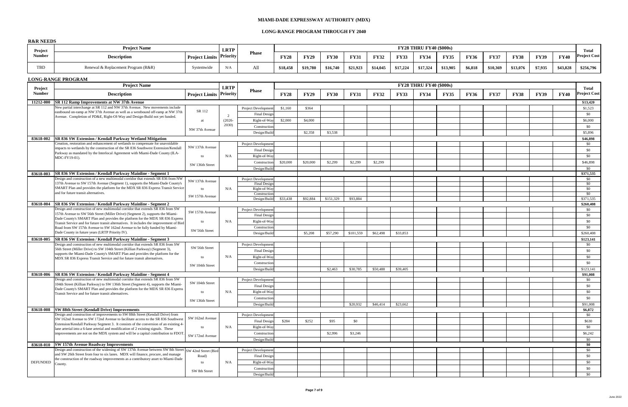# **LONG-RANGE PROGRAM THROUGH FY 2040**

# **R&R NEEDS**

| Project                  | <b>Project Name</b>                                                                                                                                                      |                           | <b>LRTP</b>       |                              |             |             |             |             |             |             | <b>FY28 THRU FY40 (\$000s)</b> |             |             |             |             |             |             | <b>Total</b>        |
|--------------------------|--------------------------------------------------------------------------------------------------------------------------------------------------------------------------|---------------------------|-------------------|------------------------------|-------------|-------------|-------------|-------------|-------------|-------------|--------------------------------|-------------|-------------|-------------|-------------|-------------|-------------|---------------------|
| <b>Number</b>            | <b>Description</b>                                                                                                                                                       | Project Limits Priority   |                   | <b>Phase</b>                 | <b>FY28</b> | <b>FY29</b> | <b>FY30</b> | <b>FY31</b> | <b>FY32</b> | <b>FY33</b> | <b>FY34</b>                    | <b>FY35</b> | <b>FY36</b> | <b>FY37</b> | <b>FY38</b> | <b>FY39</b> | <b>FY40</b> | <b>Project Cost</b> |
| <b>TBD</b>               | Renewal & Replacement Program (R&R)                                                                                                                                      | Systemwide                | N/A               | All                          | \$18,458    | \$19,780    | \$16,740    | \$21,923    | \$14,045    | \$17,224    | \$17,324                       | \$13,905    | \$6,818     | \$10,369    | \$13,076    | \$7,935     | \$43,828    | \$256,796           |
|                          | <b>LONG-RANGE PROGRAM</b>                                                                                                                                                |                           |                   |                              |             |             |             |             |             |             |                                |             |             |             |             |             |             |                     |
|                          | <b>Project Name</b>                                                                                                                                                      |                           | <b>LRTP</b>       |                              |             |             |             |             |             |             | <b>FY28 THRU FY40 (\$000s)</b> |             |             |             |             |             |             | <b>Total</b>        |
| Project<br><b>Number</b> | <b>Description</b>                                                                                                                                                       | Project Limits   Priority |                   | <b>Phase</b>                 | <b>FY28</b> | <b>FY29</b> | <b>FY30</b> | <b>FY31</b> | <b>FY32</b> | <b>FY33</b> | <b>FY34</b>                    | <b>FY35</b> | <b>FY36</b> | <b>FY37</b> | <b>FY38</b> | <b>FY39</b> | <b>FY40</b> | <b>Project Cost</b> |
| 11212-000                | <b>SR 112 Ramp Improvements at NW 37th Avenue</b>                                                                                                                        |                           |                   |                              |             |             |             |             |             |             |                                |             |             |             |             |             |             | \$13,420            |
|                          | New partial interchange at SR 112 and NW 37th Avenue. New movements include<br>eastbound on-ramp at NW 37th Avenue as well as a westbound off-ramp at NW 37th            | SR 112                    |                   | <b>Project Development</b>   | \$1,160     | \$364       |             |             |             |             |                                |             |             |             |             |             |             | \$1,523             |
|                          | Avenue. Completion of PD&E, Right-Of-Way and Design-Build not yet funded.                                                                                                |                           |                   | Final Design                 |             |             |             |             |             |             |                                |             |             |             |             |             |             | $\$0$               |
|                          |                                                                                                                                                                          | -at                       | $(2026 -$<br>2030 | Right-of-Way                 | \$2,000     | \$4,000     |             |             |             |             |                                |             |             |             |             |             |             | \$6,000             |
|                          |                                                                                                                                                                          | NW 37th Avenue            |                   | Construction                 |             |             |             |             |             |             |                                |             |             |             |             |             |             | $\$0$               |
|                          |                                                                                                                                                                          |                           |                   | Design/Build                 |             | \$2,358     | \$3,538     |             |             |             |                                |             |             |             |             |             |             | \$5,896             |
| 83618-002                | <b>SR 836 SW Extension / Kendall Parkway Wetland Mitigation</b><br>Creation, restoration and enhancement of wetlands to compensate for unavoidable                       |                           |                   | <b>Project Development</b>   |             |             |             |             |             |             |                                |             |             |             |             |             |             | \$46,898<br>$\$0$   |
|                          | impacts to wetlands by the construction of the SR 836 Southwest Extension/Kendall                                                                                        | NW 137th Avenue           |                   | Final Design                 |             |             |             |             |             |             |                                |             |             |             |             |             |             | \$0                 |
|                          | Parkway as mandated by the Interlocal Agreement with Miami-Dade County (ILA-                                                                                             | to                        | N/A               | Right-of-Way                 |             |             |             |             |             |             |                                |             |             |             |             |             |             | $\$0$               |
|                          | MDC-FY19-01).                                                                                                                                                            |                           |                   | Construction                 | \$20,000    | \$20,000    | \$2,299     | \$2,299     | \$2,299     |             |                                |             |             |             |             |             |             | \$46,898            |
|                          |                                                                                                                                                                          | SW 136th Street           |                   | Design/Build                 |             |             |             |             |             |             |                                |             |             |             |             |             |             | $\$0$               |
| 83618-003                | <b>SR 836 SW Extension / Kendall Parkway Mainline - Segment 1</b>                                                                                                        |                           |                   |                              |             |             |             |             |             |             |                                |             |             |             |             |             |             | \$371,535           |
|                          | Design and construction of a new multimodal corridor that extends SR 836 from NW                                                                                         | NW 137th Avenue           |                   | <b>Project Development</b>   |             |             |             |             |             |             |                                |             |             |             |             |             |             | $\$0$               |
|                          | 137th Avenue to SW 157th Avenue (Segment 1), supports the Miami-Dade County's<br>SMART Plan and provides the platform for the MDX SR 836 Express Transit Service         |                           |                   | <b>Final Design</b>          |             |             |             |             |             |             |                                |             |             |             |             |             |             | \$0                 |
|                          | and for future transit alternatives.                                                                                                                                     | to                        | N/A               | Right-of-Way<br>Construction |             |             |             |             |             |             |                                |             |             |             |             |             |             | \$0<br>\$0          |
|                          |                                                                                                                                                                          | SW 157th Avenue           |                   | Design/Build                 | \$33,438    | \$92,884    | \$151,329   | \$93,884    |             |             |                                |             |             |             |             |             |             | \$371,535           |
| 83618-004                | <b>SR 836 SW Extension / Kendall Parkway Mainline - Segment 2</b>                                                                                                        |                           |                   |                              |             |             |             |             |             |             |                                |             |             |             |             |             |             | \$260,408           |
|                          | Design and construction of new multimodal corridor that extends SR 836 from SW                                                                                           | SW 157th Avenue           |                   | <b>Project Development</b>   |             |             |             |             |             |             |                                |             |             |             |             |             |             | \$0                 |
|                          | 157th Avenue to SW 56th Street (Miller Drive) (Segment 2), supports the Miami-<br>Dade County's SMART Plan and provides the platform for the MDX SR 836 Express          |                           |                   | <b>Final Design</b>          |             |             |             |             |             |             |                                |             |             |             |             |             |             | \$0                 |
|                          | Transit Service and for future transit alternatives. It includes the improvement of Bird                                                                                 | to                        | N/A               | Right-of-Way                 |             |             |             |             |             |             |                                |             |             |             |             |             |             | $\$0$               |
|                          | Road from SW 157th Avenue to SW 162nd Avenue to be fully funded by Miami-                                                                                                | SW 56th Street            |                   | Construction                 |             |             |             |             |             |             |                                |             |             |             |             |             |             | $\$0$               |
|                          | Dade County in future years (LRTP Priority IV).                                                                                                                          |                           |                   | Design/Build                 |             | \$5,208     | \$57,290    | \$101,559   | \$62,498    | \$33,853    |                                |             |             |             |             |             |             | \$260,408           |
| 83618-005                | <b>SR 836 SW Extension / Kendall Parkway Mainline - Segment 3</b><br>Design and construction of new multimodal corridor that extends SR 836 from SW                      |                           |                   | <b>Project Development</b>   |             |             |             |             |             |             |                                |             |             |             |             |             |             | \$123,141<br>\$0    |
|                          | 56th Street (Miller Drive) to SW 104th Street (Killian Parkway) (Segment 3),                                                                                             | SW 56th Street            |                   | Final Design                 |             |             |             |             |             |             |                                |             |             |             |             |             |             | \$0                 |
|                          | supports the Miami-Dade County's SMART Plan and provides the platform for the                                                                                            | to                        | N/A               | Right-of-Way                 |             |             |             |             |             |             |                                |             |             |             |             |             |             | \$0                 |
|                          | MDX SR 836 Express Transit Service and for future transit alternatives.                                                                                                  |                           |                   | Construction                 |             |             |             |             |             |             |                                |             |             |             |             |             |             | $\$0$               |
|                          |                                                                                                                                                                          | SW 104th Street           |                   | Design/Build                 |             |             | \$2,463     | \$30,785    | \$50,488    | \$39,405    |                                |             |             |             |             |             |             | \$123,141           |
| 83618-006                | <b>SR 836 SW Extension / Kendall Parkway Mainline - Segment 4</b>                                                                                                        |                           |                   |                              |             |             |             |             |             |             |                                |             |             |             |             |             |             | \$91,008            |
|                          | Design and construction of new multimodal corridor that extends SR 836 from SW                                                                                           | SW 104th Street           |                   | <b>Project Developmen</b>    |             |             |             |             |             |             |                                |             |             |             |             |             |             | $\$0$               |
|                          | 104th Street (Killian Parkway) to SW 136th Street (Segment 4), supports the Miami-<br>Dade County's SMART Plan and provides the platform for the MDX SR 836 Express      |                           |                   | <b>Final Design</b>          |             |             |             |             |             |             |                                |             |             |             |             |             |             | $\$0$               |
|                          | Transit Service and for future transit alternatives.                                                                                                                     | to                        | N/A               | Right-of-Way                 |             |             |             |             |             |             |                                |             |             |             |             |             |             | \$0                 |
|                          |                                                                                                                                                                          | SW 136th Street           |                   | Construction                 |             |             |             |             |             |             |                                |             |             |             |             |             |             | \$0                 |
|                          |                                                                                                                                                                          |                           |                   | Design/Build                 |             |             |             | \$20,932    | \$46,414    | \$23,662    |                                |             |             |             |             |             |             | \$91,008            |
| 83618-008                | <b>SW 88th Street (Kendall Drive) Improvements</b><br>Design and construction of improvements to SW 88th Street (Kendall Drive) from                                     |                           |                   | <b>Project Development</b>   |             |             |             |             |             |             |                                |             |             |             |             |             |             | \$6,872<br>$\$0$    |
|                          | SW 162nd Avenue to SW 172nd Avenue to facilitate access to the SR 836 Southwest                                                                                          | SW 162nd Avenue           |                   | <b>Final Design</b>          | \$284       | \$252       | \$95        | \$0         |             |             |                                |             |             |             |             |             |             | \$630               |
|                          | Extension/Kendall Parkway Segment 3. It consists of the conversion of an existing 4-                                                                                     | to                        | N/A               | Right-of-Way                 |             |             |             |             |             |             |                                |             |             |             |             |             |             | \$0                 |
|                          | lane arterial into a 6-lane arterial and modification of 2 existing signals. These<br>improvements are not on the MDX system and will be a capital contribution to FDOT. |                           |                   | Constructior                 |             |             | \$2,996     | \$3,246     |             |             |                                |             |             |             |             |             |             | \$6,242             |
|                          |                                                                                                                                                                          | SW 172nd Avenue           |                   | Design/Build                 |             |             |             |             |             |             |                                |             |             |             |             |             |             | \$0                 |
| 83618-010                | <b>SW 157th Avenue Roadway Improvements</b>                                                                                                                              |                           |                   |                              |             |             |             |             |             |             |                                |             |             |             |             |             |             | \$0                 |
|                          | Design and construction of the widening of SW 137th Avenue between SW 8th Street SW 42nd Street (Bird                                                                    |                           |                   | <b>Project Development</b>   |             |             |             |             |             |             |                                |             |             |             |             |             |             | \$0                 |
|                          | and SW 26th Street from four to six lanes. MDX will finance, procure, and manage<br>the construction of the roadway improvements as a contributory asset to Miami-Dade   | Road)                     |                   | Final Design                 |             |             |             |             |             |             |                                |             |             |             |             |             |             | \$0\$               |
| DEFUNDED                 | County                                                                                                                                                                   | to                        | N/A               | Right-of-Way                 |             |             |             |             |             |             |                                |             |             |             |             |             |             | \$0                 |
|                          |                                                                                                                                                                          | SW 8th Street             |                   | Construction                 |             |             |             |             |             |             |                                |             |             |             |             |             |             | $\$0$               |
|                          |                                                                                                                                                                          |                           |                   | Design/Build                 |             |             |             |             |             |             |                                |             |             |             |             |             |             | $\$0$               |

| Project                  | <b>Project Name</b>                                                                                                                                                        |                                      | <b>LRTP</b> |                                     |             |             |             |             |             |             | <b>FY28 THRU FY40 (\$000s)</b> |             |             |             |             |             |             | <b>Total</b>                 |
|--------------------------|----------------------------------------------------------------------------------------------------------------------------------------------------------------------------|--------------------------------------|-------------|-------------------------------------|-------------|-------------|-------------|-------------|-------------|-------------|--------------------------------|-------------|-------------|-------------|-------------|-------------|-------------|------------------------------|
| <b>Number</b>            | <b>Description</b>                                                                                                                                                         | <sup>1</sup> Project Limits Priority |             | <b>Phase</b>                        | <b>FY28</b> | <b>FY29</b> | <b>FY30</b> | <b>FY31</b> | <b>FY32</b> | <b>FY33</b> | <b>FY34</b>                    | <b>FY35</b> | <b>FY36</b> | <b>FY37</b> | <b>FY38</b> | <b>FY39</b> | <b>FY40</b> | <b>Project Cost</b>          |
| <b>TBD</b>               | Renewal & Replacement Program (R&R)                                                                                                                                        | Systemwide                           | N/A         | All                                 | \$18,458    | \$19,780    | \$16,740    | \$21,923    | \$14,045    | \$17,224    | \$17,324                       | \$13,905    | \$6,818     | \$10,369    | \$13,076    | \$7,935     | \$43,828    | \$256,796                    |
|                          | <b>LONG-RANGE PROGRAM</b>                                                                                                                                                  |                                      |             |                                     |             |             |             |             |             |             |                                |             |             |             |             |             |             |                              |
|                          | <b>Project Name</b>                                                                                                                                                        |                                      |             |                                     |             |             |             |             |             |             | <b>FY28 THRU FY40 (\$000s)</b> |             |             |             |             |             |             |                              |
| Project<br><b>Number</b> | <b>Description</b>                                                                                                                                                         | ' Project Limits   Priority          | <b>LRTP</b> | <b>Phase</b>                        | <b>FY28</b> | <b>FY29</b> | <b>FY30</b> | <b>FY31</b> | <b>FY32</b> | <b>FY33</b> | <b>FY34</b>                    | <b>FY35</b> | <b>FY36</b> | <b>FY37</b> | <b>FY38</b> | <b>FY39</b> | <b>FY40</b> | <b>Total</b><br>Project Cost |
| 11212-000                | <b>SR 112 Ramp Improvements at NW 37th Avenue</b>                                                                                                                          |                                      |             |                                     |             |             |             |             |             |             |                                |             |             |             |             |             |             | \$13,420                     |
|                          | New partial interchange at SR 112 and NW 37th Avenue. New movements include                                                                                                | SR 112                               |             | <b>Project Development</b>          | \$1,160     | \$364       |             |             |             |             |                                |             |             |             |             |             |             | \$1,523                      |
|                          | eastbound on-ramp at NW 37th Avenue as well as a westbound off-ramp at NW 37th<br>Avenue. Completion of PD&E, Right-Of-Way and Design-Build not yet funded.                |                                      |             | <b>Final Design</b>                 |             |             |             |             |             |             |                                |             |             |             |             |             |             | \$0                          |
|                          |                                                                                                                                                                            | at                                   | $(2026 -$   | Right-of-Way                        | \$2,000     | \$4,000     |             |             |             |             |                                |             |             |             |             |             |             | \$6,000                      |
|                          |                                                                                                                                                                            |                                      | 2030)       | Construction                        |             |             |             |             |             |             |                                |             |             |             |             |             |             | \$0                          |
|                          |                                                                                                                                                                            | NW 37th Avenue                       |             | Design/Build                        |             | \$2,358     | \$3,538     |             |             |             |                                |             |             |             |             |             |             | \$5,896                      |
| 83618-002                | <b>SR 836 SW Extension / Kendall Parkway Wetland Mitigation</b>                                                                                                            |                                      |             |                                     |             |             |             |             |             |             |                                |             |             |             |             |             |             | \$46,898                     |
|                          | Creation, restoration and enhancement of wetlands to compensate for unavoidable                                                                                            | NW 137th Avenue                      |             | <b>Project Development</b>          |             |             |             |             |             |             |                                |             |             |             |             |             |             | $\$0$                        |
|                          | impacts to wetlands by the construction of the SR 836 Southwest Extension/Kendall<br>Parkway as mandated by the Interlocal Agreement with Miami-Dade County (ILA-          |                                      |             | <b>Final Design</b>                 |             |             |             |             |             |             |                                |             |             |             |             |             |             | \$0                          |
|                          | MDC-FY19-01).                                                                                                                                                              | to                                   | N/A         | Right-of-Way                        |             |             |             |             |             |             |                                |             |             |             |             |             |             | \$0                          |
|                          |                                                                                                                                                                            | SW 136th Street                      |             | Construction                        | \$20,000    | \$20,000    | \$2,299     | \$2,299     | \$2,299     |             |                                |             |             |             |             |             |             | \$46,898                     |
|                          |                                                                                                                                                                            |                                      |             | Design/Build                        |             |             |             |             |             |             |                                |             |             |             |             |             |             | \$0                          |
| 83618-003                | <b>SR 836 SW Extension / Kendall Parkway Mainline - Segment 1</b>                                                                                                          |                                      |             |                                     |             |             |             |             |             |             |                                |             |             |             |             |             |             | \$371,535                    |
|                          | Design and construction of a new multimodal corridor that extends SR 836 from NW<br>137th Avenue to SW 157th Avenue (Segment 1), supports the Miami-Dade County's          | NW 137th Avenue                      |             | <b>Project Developmen</b>           |             |             |             |             |             |             |                                |             |             |             |             |             |             | $\$0$<br>\$0                 |
|                          | SMART Plan and provides the platform for the MDX SR 836 Express Transit Service                                                                                            | to                                   | N/A         | <b>Final Design</b><br>Right-of-Way |             |             |             |             |             |             |                                |             |             |             |             |             |             | \$0                          |
|                          | and for future transit alternatives.                                                                                                                                       |                                      |             | Construction                        |             |             |             |             |             |             |                                |             |             |             |             |             |             | $\$0$                        |
|                          |                                                                                                                                                                            | SW 157th Avenue                      |             | Design/Build                        | \$33,438    | \$92,884    | \$151,329   | \$93,884    |             |             |                                |             |             |             |             |             |             | \$371,535                    |
| 83618-004                | <b>SR 836 SW Extension / Kendall Parkway Mainline - Segment 2</b>                                                                                                          |                                      |             |                                     |             |             |             |             |             |             |                                |             |             |             |             |             |             | \$260,408                    |
|                          | Design and construction of new multimodal corridor that extends SR 836 from SW<br>157th Avenue to SW 56th Street (Miller Drive) (Segment 2), supports the Miami-           | SW 157th Avenue                      |             | <b>Project Development</b>          |             |             |             |             |             |             |                                |             |             |             |             |             |             | \$0                          |
|                          | Dade County's SMART Plan and provides the platform for the MDX SR 836 Express                                                                                              |                                      |             | <b>Final Design</b>                 |             |             |             |             |             |             |                                |             |             |             |             |             |             | \$0                          |
|                          | Transit Service and for future transit alternatives. It includes the improvement of Bird                                                                                   | to                                   | N/A         | Right-of-Way                        |             |             |             |             |             |             |                                |             |             |             |             |             |             | \$0                          |
|                          | Road from SW 157th Avenue to SW 162nd Avenue to be fully funded by Miami-                                                                                                  | SW 56th Street                       |             | Construction                        |             |             |             |             |             |             |                                |             |             |             |             |             |             | \$0                          |
|                          | Dade County in future years (LRTP Priority IV).                                                                                                                            |                                      |             | Design/Build                        |             | \$5,208     | \$57,290    | \$101,559   | \$62,498    | \$33,853    |                                |             |             |             |             |             |             | \$260,408                    |
| 83618-005                | <b>SR 836 SW Extension / Kendall Parkway Mainline - Segment 3</b><br>Design and construction of new multimodal corridor that extends SR 836 from SW                        |                                      |             |                                     |             |             |             |             |             |             |                                |             |             |             |             |             |             | \$123,141                    |
|                          | 56th Street (Miller Drive) to SW 104th Street (Killian Parkway) (Segment 3),                                                                                               | SW 56th Street                       |             | <b>Project Developmen</b>           |             |             |             |             |             |             |                                |             |             |             |             |             |             | \$0                          |
|                          | supports the Miami-Dade County's SMART Plan and provides the platform for the                                                                                              |                                      |             | <b>Final Design</b>                 |             |             |             |             |             |             |                                |             |             |             |             |             |             | \$0                          |
|                          | MDX SR 836 Express Transit Service and for future transit alternatives.                                                                                                    | to                                   | N/A         | Right-of-Way                        |             |             |             |             |             |             |                                |             |             |             |             |             |             | \$0                          |
|                          |                                                                                                                                                                            | SW 104th Street                      |             | Construction                        |             |             |             |             |             |             |                                |             |             |             |             |             |             | $\$0$                        |
|                          | 83618-006   SR 836 SW Extension / Kendall Parkway Mainline - Segment 4                                                                                                     |                                      |             | Design/Build                        |             |             | \$2,463     | \$30,785    | \$50,488    | \$39,405    |                                |             |             |             |             |             |             | \$123,141                    |
|                          | Design and construction of new multimodal corridor that extends SR 836 from SW                                                                                             |                                      |             | <b>Project Developmen</b>           |             |             |             |             |             |             |                                |             |             |             |             |             |             | \$91,008<br>$\$0$            |
|                          | 104th Street (Killian Parkway) to SW 136th Street (Segment 4), supports the Miami-                                                                                         | SW 104th Street                      |             | <b>Final Design</b>                 |             |             |             |             |             |             |                                |             |             |             |             |             |             | $\$0$                        |
|                          | Dade County's SMART Plan and provides the platform for the MDX SR 836 Express                                                                                              | to                                   | N/A         | Right-of-Way                        |             |             |             |             |             |             |                                |             |             |             |             |             |             | \$0                          |
|                          | Transit Service and for future transit alternatives.                                                                                                                       |                                      |             | Construction                        |             |             |             |             |             |             |                                |             |             |             |             |             |             | \$0                          |
|                          |                                                                                                                                                                            | SW 136th Street                      |             | Design/Build                        |             |             |             | \$20,932    | \$46,414    | \$23,662    |                                |             |             |             |             |             |             | \$91,008                     |
|                          | 83618-008 SW 88th Street (Kendall Drive) Improvements                                                                                                                      |                                      |             |                                     |             |             |             |             |             |             |                                |             |             |             |             |             |             | \$6,872                      |
|                          | Design and construction of improvements to SW 88th Street (Kendall Drive) from                                                                                             |                                      |             | <b>Project Development</b>          |             |             |             |             |             |             |                                |             |             |             |             |             |             | \$0                          |
|                          | SW 162nd Avenue to SW 172nd Avenue to facilitate access to the SR 836 Southwest                                                                                            | SW 162nd Avenue                      |             | <b>Final Design</b>                 | \$284       | \$252       | \$95        | \$0         |             |             |                                |             |             |             |             |             |             | \$630                        |
|                          | Extension/Kendall Parkway Segment 3. It consists of the conversion of an existing 4-<br>lane arterial into a 6-lane arterial and modification of 2 existing signals. These | to                                   | N/A         | Right-of-Way                        |             |             |             |             |             |             |                                |             |             |             |             |             |             | \$0                          |
|                          | improvements are not on the MDX system and will be a capital contribution to FDOT.                                                                                         |                                      |             | Construction                        |             |             | \$2,996     | \$3,246     |             |             |                                |             |             |             |             |             |             | \$6,242                      |
|                          |                                                                                                                                                                            | SW 172nd Avenue                      |             | Design/Build                        |             |             |             |             |             |             |                                |             |             |             |             |             |             | \$0                          |
|                          | 83618-010 SW 157th Avenue Roadway Improvements                                                                                                                             |                                      |             |                                     |             |             |             |             |             |             |                                |             |             |             |             |             |             | \$0                          |
|                          | Design and construction of the widening of SW 137th Avenue between SW 8th Street SW 42nd Street (Bird                                                                      |                                      |             | <b>Project Development</b>          |             |             |             |             |             |             |                                |             |             |             |             |             |             | $\$0$                        |
|                          | and SW 26th Street from four to six lanes. MDX will finance, procure, and manage<br>the construction of the roadway improvements as a contributory asset to Miami-Dade     | Road)                                |             | <b>Final Design</b>                 |             |             |             |             |             |             |                                |             |             |             |             |             |             | $\$0$                        |
| DEFUNDED                 | County.                                                                                                                                                                    | tΩ                                   | N/A         | Right-of-Way                        |             |             |             |             |             |             |                                |             |             |             |             |             |             | \$0                          |
|                          |                                                                                                                                                                            | SW 8th Street                        |             | Construction                        |             |             |             |             |             |             |                                |             |             |             |             |             |             | $\$0$                        |
|                          |                                                                                                                                                                            |                                      |             | Design/Build                        |             |             |             |             |             |             |                                |             |             |             |             |             |             | \$0                          |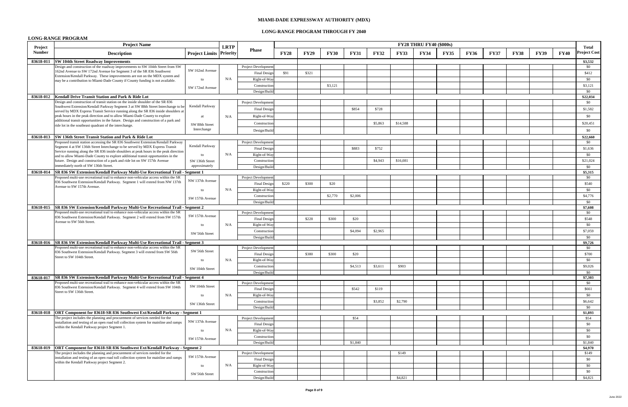# **LONG-RANGE PROGRAM THROUGH FY 2040**

# **LONG-RANGE PROGRAM**

|                          | <b>Project Name</b>                                                                                                                                                           |                         | <b>LRTP</b> |                            |             |             |             |             |             |             | <b>FY28 THRU FY40 (\$000s)</b> |             |             |             |             |             |             | <b>Total</b>        |
|--------------------------|-------------------------------------------------------------------------------------------------------------------------------------------------------------------------------|-------------------------|-------------|----------------------------|-------------|-------------|-------------|-------------|-------------|-------------|--------------------------------|-------------|-------------|-------------|-------------|-------------|-------------|---------------------|
| Project<br><b>Number</b> | <b>Description</b>                                                                                                                                                            | Project Limits Priority |             | <b>Phase</b>               | <b>FY28</b> | <b>FY29</b> | <b>FY30</b> | <b>FY31</b> | <b>FY32</b> | <b>FY33</b> | <b>FY34</b>                    | <b>FY35</b> | <b>FY36</b> | <b>FY37</b> | <b>FY38</b> | <b>FY39</b> | <b>FY40</b> | <b>Project Cost</b> |
| 83618-011                | <b>SW 104th Street Roadway Improvements</b>                                                                                                                                   |                         |             |                            |             |             |             |             |             |             |                                |             |             |             |             |             |             | \$3,532             |
|                          | Design and construction of the roadway improvements to SW 104th Street from SW                                                                                                | SW 162nd Avenue         |             | <b>Project Development</b> |             |             |             |             |             |             |                                |             |             |             |             |             |             | \$0                 |
|                          | 162nd Avenue to SW 172nd Avenue for Segment 3 of the SR 836 Southwest<br>Extension/Kendall Parkway. These improvements are not on the MDX system and                          |                         |             | <b>Final Design</b>        | \$91        | \$321       |             |             |             |             |                                |             |             |             |             |             |             | \$412               |
|                          | may be a contribution to Miami-Dade County if County funding is not available.                                                                                                | to                      | N/A         | Right-of-Way               |             |             |             |             |             |             |                                |             |             |             |             |             |             | \$0                 |
|                          |                                                                                                                                                                               | SW 172nd Avenue         |             | Construction               |             |             | \$3,121     |             |             |             |                                |             |             |             |             |             |             | \$3,121             |
|                          |                                                                                                                                                                               |                         |             | Design/Build               |             |             |             |             |             |             |                                |             |             |             |             |             |             | \$0                 |
|                          | 83618-012   Kendall Drive Transit Station and Park & Ride Lot<br>Design and construction of transit station on the inside shoulder of the SR 836                              |                         |             |                            |             |             |             |             |             |             |                                |             |             |             |             |             |             | \$22,034            |
|                          | Southwest Extension/Kendall Parkway Segment 3 at SW 88th Street Interchange to be                                                                                             | Kendall Parkway         |             | <b>Project Development</b> |             |             |             |             |             |             |                                |             |             |             |             |             |             | \$0                 |
|                          | served by MDX Express Transit Service running along the SR 836 inside shoulders at                                                                                            |                         |             | <b>Final Design</b>        |             |             |             | \$854       | \$728       |             |                                |             |             |             |             |             |             | \$1,582             |
|                          | peak hours in the peak direction and to allow Miami-Dade County to explore                                                                                                    |                         | N/A         | Right-of-Way               |             |             |             |             |             |             |                                |             |             |             |             |             |             | \$0                 |
|                          | additional transit opportunities in the future. Design and construction of a park and<br>ride lot in the southeast quadrant of the interchange.                               | SW 88th Street          |             | Construction               |             |             |             |             | \$5,863     | \$14,588    |                                |             |             |             |             |             |             | \$20,451            |
|                          |                                                                                                                                                                               | Interchange             |             | Design/Build               |             |             |             |             |             |             |                                |             |             |             |             |             |             | \$0                 |
|                          | 83618-013 SW 136th Street Transit Station and Park & Ride Lot                                                                                                                 |                         |             |                            |             |             |             |             |             |             |                                |             |             |             |             |             |             | \$22,660            |
|                          | Proposed transit station accessing the SR 836 Southwest Extension/Kendall Parkway                                                                                             |                         |             | <b>Project Development</b> |             |             |             |             |             |             |                                |             |             |             |             |             |             | \$0                 |
|                          | Segment 4 at SW 136th Street Interchange to be served by MDX Express Transit                                                                                                  | Kendall Parkway         |             | <b>Final Design</b>        |             |             |             | \$883       | \$752       |             |                                |             |             |             |             |             |             | \$1,636             |
|                          | Service running along the SR 836 inside shoulders at peak hours in the peak direction<br>and to allow Miami-Dade County to explore additional transit opportunities in the    | to                      | N/A         | Right-of-Way               |             |             |             |             |             |             |                                |             |             |             |             |             |             | \$0                 |
|                          | future. Design and construction of a park and ride lot on SW 157th Avenue                                                                                                     | SW 136th Street         |             | Construction               |             |             |             |             | \$4,943     | \$16,081    |                                |             |             |             |             |             |             | \$21,024            |
|                          | immediately north of SW 136th Street.                                                                                                                                         | approximately           |             | Design/Build               |             |             |             |             |             |             |                                |             |             |             |             |             |             | \$0                 |
|                          | 83618-014 SR 836 SW Extension/Kendall Parkway Multi-Use Recreational Trail - Segment 1                                                                                        |                         |             |                            |             |             |             |             |             |             |                                |             |             |             |             |             |             | \$5,315             |
|                          | Proposed multi-use recreational trail to enhance non-vehicular access within the SR                                                                                           |                         |             | <b>Project Development</b> |             |             |             |             |             |             |                                |             |             |             |             |             |             | \$0                 |
|                          | 836 Southwest Extension/Kendall Parkway. Segment 1 will extend from NW 137th                                                                                                  | NW 137th Avenue         |             | <b>Final Design</b>        | \$220       | \$300       | \$20        |             |             |             |                                |             |             |             |             |             |             | \$540               |
|                          | Avenue to SW 157th Avenue.                                                                                                                                                    | to                      | N/A         | Right-of-Way               |             |             |             |             |             |             |                                |             |             |             |             |             |             | \$0                 |
|                          |                                                                                                                                                                               | SW 157th Avenue         |             | Construction               |             |             | \$2,770     | \$2,006     |             |             |                                |             |             |             |             |             |             | \$4,776             |
|                          |                                                                                                                                                                               |                         |             | Design/Build               |             |             |             |             |             |             |                                |             |             |             |             |             |             | \$0                 |
|                          | 83618-015 SR 836 SW Extension/Kendall Parkway Multi-Use Recreational Trail - Segment 2                                                                                        |                         |             |                            |             |             |             |             |             |             |                                |             |             |             |             |             |             | \$7,608             |
|                          | Proposed multi-use recreational trail to enhance non-vehicular access within the SR                                                                                           | SW 157th Avenue         |             | <b>Project Development</b> |             |             |             |             |             |             |                                |             |             |             |             |             |             | \$0                 |
|                          | 836 Southwest Extension/Kendall Parkway. Segment 2 will extend from SW 157th<br>Avenue to SW 56th Street.                                                                     |                         |             | <b>Final Design</b>        |             | \$228       | \$300       | \$20        |             |             |                                |             |             |             |             |             |             | \$548               |
|                          |                                                                                                                                                                               | to                      | N/A         | Right-of-Way               |             |             |             |             |             |             |                                |             |             |             |             |             |             | \$0                 |
|                          |                                                                                                                                                                               | SW 56th Street          |             | Construction'              |             |             |             | \$4,094     | \$2,965     |             |                                |             |             |             |             |             |             | \$7,059             |
|                          |                                                                                                                                                                               |                         |             | Design/Build               |             |             |             |             |             |             |                                |             |             |             |             |             |             | \$0                 |
|                          | 83618-016 SR 836 SW Extension/Kendall Parkway Multi-Use Recreational Trail - Segment 3<br>Proposed multi-use recreational trail to enhance non-vehicular access within the SR |                         |             |                            |             |             |             |             |             |             |                                |             |             |             |             |             |             | \$9,726             |
|                          | 836 Southwest Extension/Kendall Parkway. Segment 3 will extend from SW 56th                                                                                                   | SW 56th Street          |             | Project Development        |             |             |             |             |             |             |                                |             |             |             |             |             |             | \$0                 |
|                          | Street to SW 104th Street.                                                                                                                                                    |                         |             | <b>Final Design</b>        |             | \$380       | \$300       | \$20        |             |             |                                |             |             |             |             |             |             | \$700               |
|                          |                                                                                                                                                                               | to                      | N/A         | Right-of-Way               |             |             |             |             |             |             |                                |             |             |             |             |             |             | \$0                 |
|                          |                                                                                                                                                                               | SW 104th Street         |             | Construction               |             |             |             | \$4,513     | \$3,611     | \$903       |                                |             |             |             |             |             |             | \$9,026             |
|                          | 83618-017   SR 836 SW Extension/Kendall Parkway Multi-Use Recreational Trail - Segment 4                                                                                      |                         |             | Design/Build               |             |             |             |             |             |             |                                |             |             |             |             |             |             | \$0<br>\$7,303      |
|                          | Proposed multi-use recreational trail to enhance non-vehicular access within the SR                                                                                           |                         |             | <b>Project Development</b> |             |             |             |             |             |             |                                |             |             |             |             |             |             | \$0                 |
|                          | 836 Southwest Extension/Kendall Parkway. Segment 4 will extend from SW 104th                                                                                                  | SW 104th Street         |             | <b>Final Design</b>        |             |             |             | \$542       | \$119       |             |                                |             |             |             |             |             |             | \$661               |
|                          | Street to SW 136th Street.                                                                                                                                                    | to                      | N/A         | Right-of-Way               |             |             |             |             |             |             |                                |             |             |             |             |             |             | \$0                 |
|                          |                                                                                                                                                                               |                         |             | Construction               |             |             |             |             | \$3,852     | \$2,790     |                                |             |             |             |             |             |             | \$6,642             |
|                          |                                                                                                                                                                               | SW 136th Street         |             | Design/Build               |             |             |             |             |             |             |                                |             |             |             |             |             |             | \$0                 |
|                          | 83618-018   ORT Component for 83618-SR 836 Southwest Ext/Kendall Parkway - Segment 1                                                                                          |                         |             |                            |             |             |             |             |             |             |                                |             |             |             |             |             |             | \$1,893             |
|                          | The project includes the planning and procurement of services needed for the                                                                                                  |                         |             | <b>Project Development</b> |             |             |             | \$54        |             |             |                                |             |             |             |             |             |             | \$54                |
|                          | installation and testing of an open road toll collection system for mainline and ramps                                                                                        | NW 137th Avenue         |             | <b>Final Design</b>        |             |             |             |             |             |             |                                |             |             |             |             |             |             | \$0                 |
|                          | within the Kendall Parkway project Segment 1.                                                                                                                                 | to                      | N/A         | Right-of-Way               |             |             |             |             |             |             |                                |             |             |             |             |             |             | \$0                 |
|                          |                                                                                                                                                                               |                         |             | Construction               |             |             |             |             |             |             |                                |             |             |             |             |             |             | \$0                 |
|                          |                                                                                                                                                                               | SW 157th Avenue         |             | Design/Build               |             |             |             | \$1,840     |             |             |                                |             |             |             |             |             |             | \$1,840             |
|                          | 83618-019   ORT Component for 83618-SR 836 Southwest Ext/Kendall Parkway - Segment 2                                                                                          |                         |             |                            |             |             |             |             |             |             |                                |             |             |             |             |             |             | \$4,970             |
|                          | The project includes the planning and procurement of services needed for the                                                                                                  | SW 157th Avenue         |             | <b>Project Development</b> |             |             |             |             |             | \$149       |                                |             |             |             |             |             |             | \$149               |
|                          | installation and testing of an open road toll collection system for mainline and ramps<br>within the Kendall Parkway project Segment 2.                                       |                         |             | Final Design               |             |             |             |             |             |             |                                |             |             |             |             |             |             | \$0                 |
|                          |                                                                                                                                                                               | to.                     | N/A         | Right-of-Way               |             |             |             |             |             |             |                                |             |             |             |             |             |             | \$0                 |
|                          |                                                                                                                                                                               | SW 56th Street          |             | Construction               |             |             |             |             |             |             |                                |             |             |             |             |             |             | \$0                 |
|                          |                                                                                                                                                                               |                         |             | Design/Build               |             |             |             |             |             | \$4,821     |                                |             |             |             |             |             |             | \$4,821             |